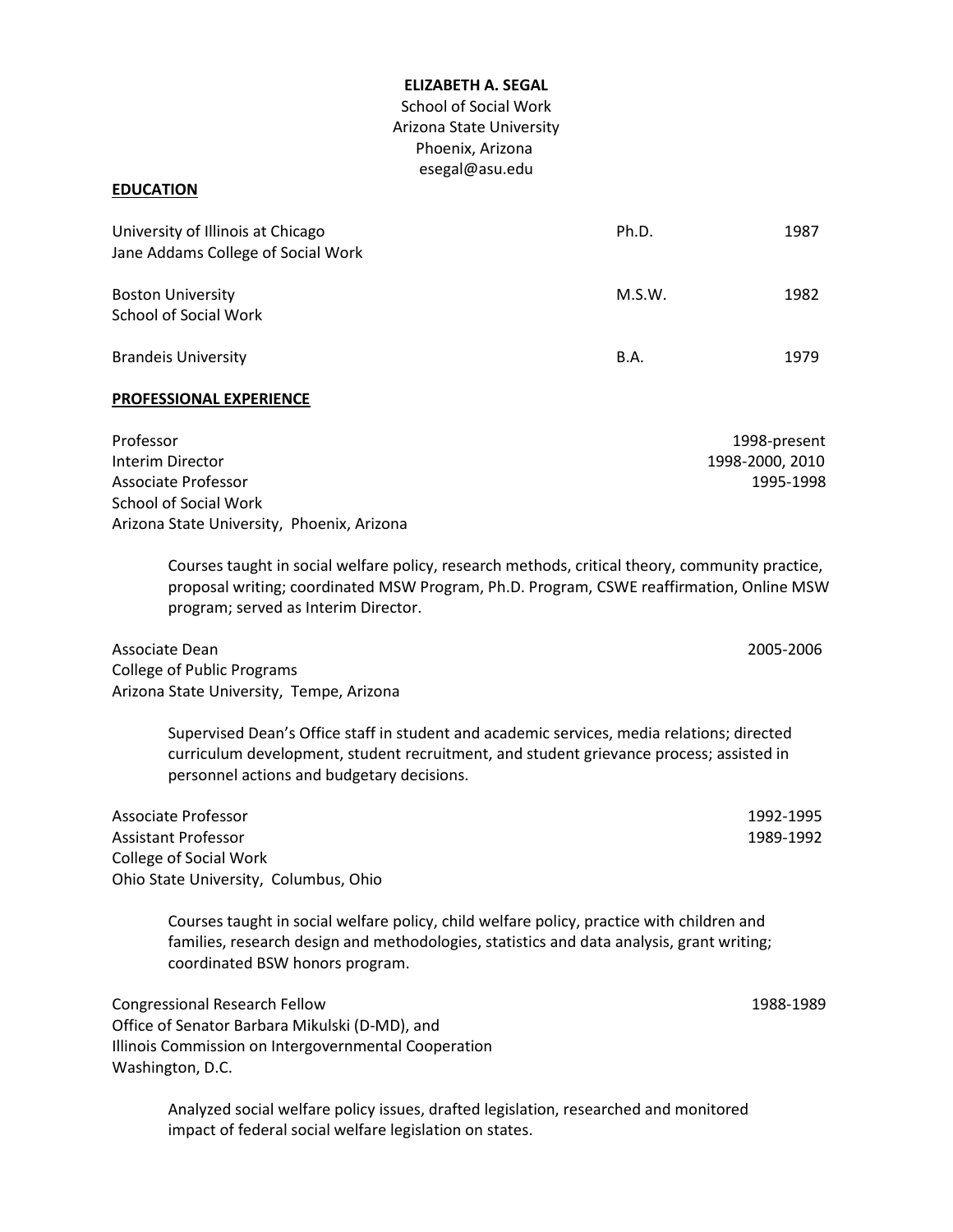#### **ELIZABETH A. SEGAL**

School of Social Work Arizona State University Phoenix, Arizona esegal@asu.edu

## **EDUCATION**

| University of Illinois at Chicago<br>Jane Addams College of Social Work | Ph.D.  | 1987 |
|-------------------------------------------------------------------------|--------|------|
| <b>Boston University</b><br>School of Social Work                       | M.S.W. | 1982 |
| <b>Brandeis University</b>                                              | B.A.   | 1979 |

#### **PROFESSIONAL EXPERIENCE**

| Professor                                  | 1998-present    |
|--------------------------------------------|-----------------|
| Interim Director                           | 1998-2000, 2010 |
| Associate Professor                        | 1995-1998       |
| School of Social Work                      |                 |
| Arizona State University, Phoenix, Arizona |                 |

Courses taught in social welfare policy, research methods, critical theory, community practice, proposal writing; coordinated MSW Program, Ph.D. Program, CSWE reaffirmation, Online MSW program; served as Interim Director.

Associate Dean 2005-2006 College of Public Programs Arizona State University, Tempe, Arizona

Supervised Dean's Office staff in student and academic services, media relations; directed curriculum development, student recruitment, and student grievance process; assisted in personnel actions and budgetary decisions.

Associate Professor 1992-1995 Assistant Professor 1989-1992 College of Social Work Ohio State University, Columbus, Ohio

Courses taught in social welfare policy, child welfare policy, practice with children and families, research design and methodologies, statistics and data analysis, grant writing; coordinated BSW honors program.

Congressional Research Fellow 1988-1989 Office of Senator Barbara Mikulski (D-MD), and Illinois Commission on Intergovernmental Cooperation Washington, D.C.

Analyzed social welfare policy issues, drafted legislation, researched and monitored impact of federal social welfare legislation on states.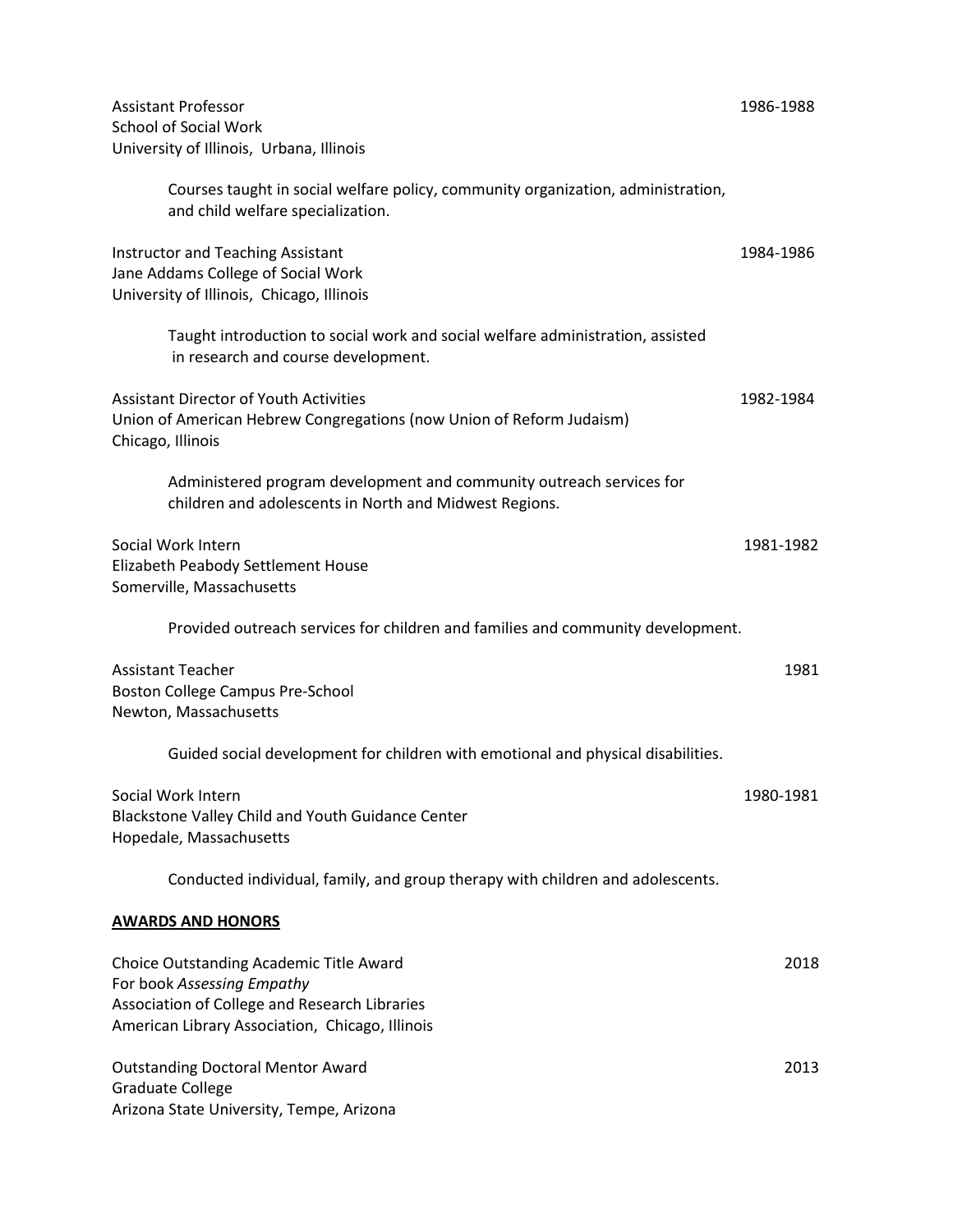| <b>Assistant Professor</b><br><b>School of Social Work</b>                                                                                                                | 1986-1988 |
|---------------------------------------------------------------------------------------------------------------------------------------------------------------------------|-----------|
| University of Illinois, Urbana, Illinois                                                                                                                                  |           |
| Courses taught in social welfare policy, community organization, administration,<br>and child welfare specialization.                                                     |           |
| <b>Instructor and Teaching Assistant</b><br>Jane Addams College of Social Work<br>University of Illinois, Chicago, Illinois                                               | 1984-1986 |
| Taught introduction to social work and social welfare administration, assisted<br>in research and course development.                                                     |           |
| <b>Assistant Director of Youth Activities</b><br>Union of American Hebrew Congregations (now Union of Reform Judaism)<br>Chicago, Illinois                                | 1982-1984 |
| Administered program development and community outreach services for<br>children and adolescents in North and Midwest Regions.                                            |           |
| Social Work Intern<br>Elizabeth Peabody Settlement House<br>Somerville, Massachusetts                                                                                     | 1981-1982 |
| Provided outreach services for children and families and community development.                                                                                           |           |
| <b>Assistant Teacher</b><br>Boston College Campus Pre-School<br>Newton, Massachusetts                                                                                     | 1981      |
| Guided social development for children with emotional and physical disabilities.                                                                                          |           |
| Social Work Intern<br>Blackstone Valley Child and Youth Guidance Center<br>Hopedale, Massachusetts                                                                        | 1980-1981 |
| Conducted individual, family, and group therapy with children and adolescents.                                                                                            |           |
| <b>AWARDS AND HONORS</b>                                                                                                                                                  |           |
| Choice Outstanding Academic Title Award<br>For book Assessing Empathy<br>Association of College and Research Libraries<br>American Library Association, Chicago, Illinois | 2018      |
| <b>Outstanding Doctoral Mentor Award</b><br><b>Graduate College</b><br>Arizona State University, Tempe, Arizona                                                           | 2013      |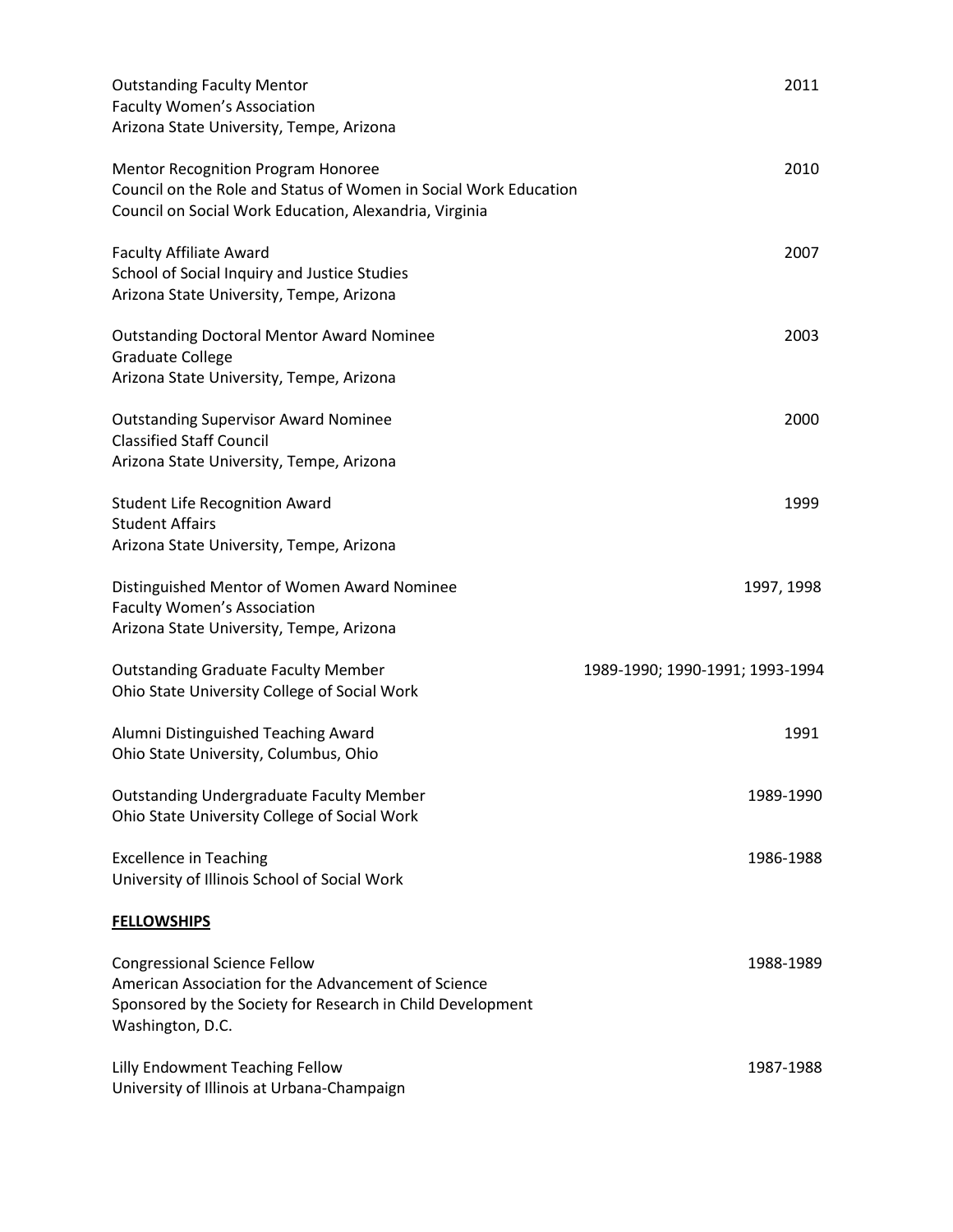| <b>Outstanding Faculty Mentor</b><br>Faculty Women's Association<br>Arizona State University, Tempe, Arizona                                                                 | 2011                            |
|------------------------------------------------------------------------------------------------------------------------------------------------------------------------------|---------------------------------|
| <b>Mentor Recognition Program Honoree</b><br>Council on the Role and Status of Women in Social Work Education<br>Council on Social Work Education, Alexandria, Virginia      | 2010                            |
| <b>Faculty Affiliate Award</b><br>School of Social Inquiry and Justice Studies<br>Arizona State University, Tempe, Arizona                                                   | 2007                            |
| <b>Outstanding Doctoral Mentor Award Nominee</b><br><b>Graduate College</b><br>Arizona State University, Tempe, Arizona                                                      | 2003                            |
| <b>Outstanding Supervisor Award Nominee</b><br><b>Classified Staff Council</b><br>Arizona State University, Tempe, Arizona                                                   | 2000                            |
| <b>Student Life Recognition Award</b><br><b>Student Affairs</b><br>Arizona State University, Tempe, Arizona                                                                  | 1999                            |
| Distinguished Mentor of Women Award Nominee<br>Faculty Women's Association<br>Arizona State University, Tempe, Arizona                                                       | 1997, 1998                      |
| <b>Outstanding Graduate Faculty Member</b><br>Ohio State University College of Social Work                                                                                   | 1989-1990; 1990-1991; 1993-1994 |
| Alumni Distinguished Teaching Award<br>Ohio State University, Columbus, Ohio                                                                                                 | 1991                            |
| <b>Outstanding Undergraduate Faculty Member</b><br>Ohio State University College of Social Work                                                                              | 1989-1990                       |
| <b>Excellence in Teaching</b><br>University of Illinois School of Social Work                                                                                                | 1986-1988                       |
| <b>FELLOWSHIPS</b>                                                                                                                                                           |                                 |
| <b>Congressional Science Fellow</b><br>American Association for the Advancement of Science<br>Sponsored by the Society for Research in Child Development<br>Washington, D.C. | 1988-1989                       |
| Lilly Endowment Teaching Fellow<br>University of Illinois at Urbana-Champaign                                                                                                | 1987-1988                       |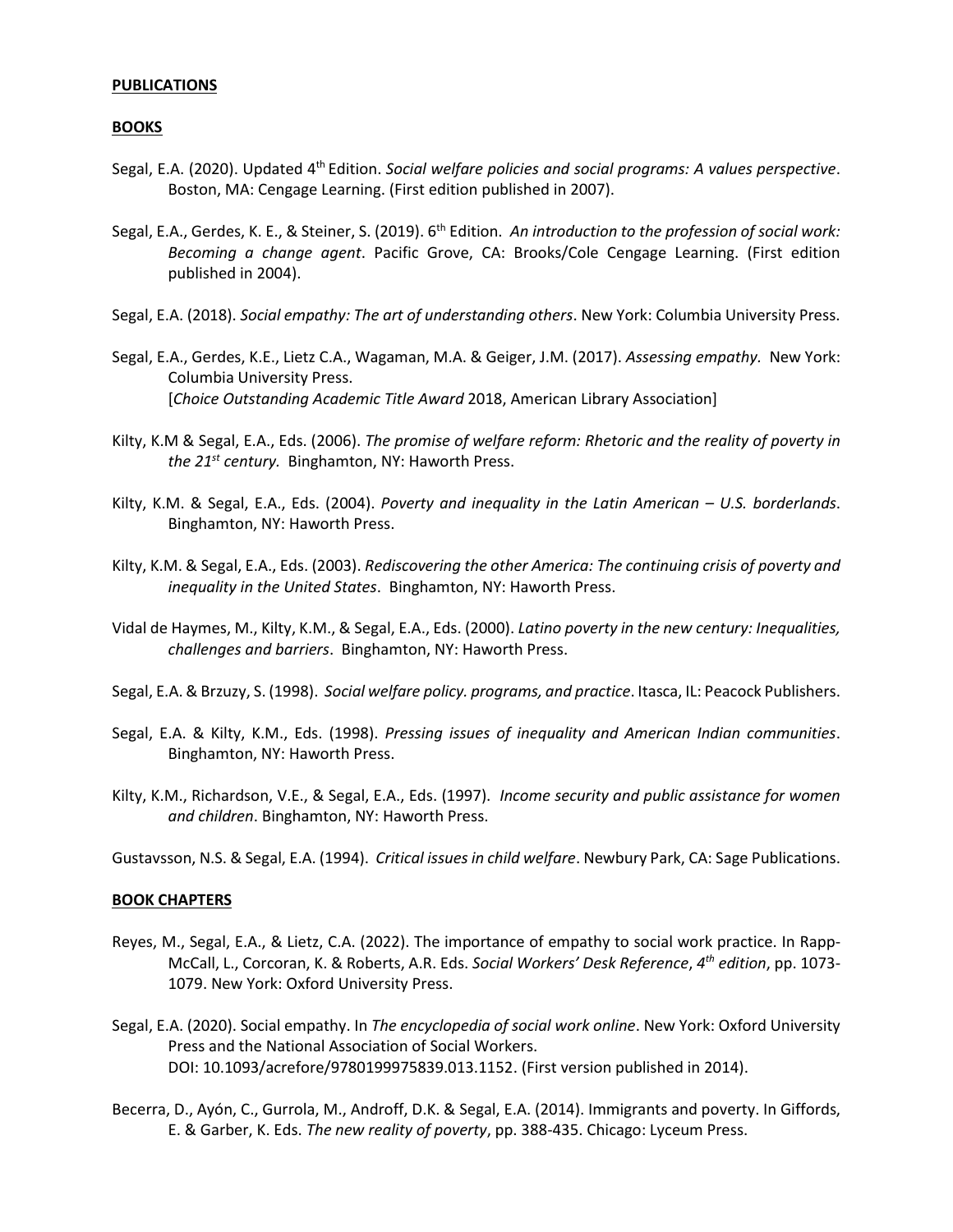# **PUBLICATIONS**

# **BOOKS**

- Segal, E.A. (2020). Updated 4<sup>th</sup> Edition. Social welfare policies and social programs: A values perspective. Boston, MA: Cengage Learning. (First edition published in 2007).
- Segal, E.A., Gerdes, K. E., & Steiner, S. (2019). 6th Edition. *An introduction to the profession of social work: Becoming a change agent*. Pacific Grove, CA: Brooks/Cole Cengage Learning. (First edition published in 2004).
- Segal, E.A. (2018). *Social empathy: The art of understanding others*. New York: Columbia University Press.
- Segal, E.A., Gerdes, K.E., Lietz C.A., Wagaman, M.A. & Geiger, J.M. (2017). *Assessing empathy.* New York: Columbia University Press. [*Choice Outstanding Academic Title Award* 2018, American Library Association]
- Kilty, K.M & Segal, E.A., Eds. (2006). *The promise of welfare reform: Rhetoric and the reality of poverty in the 21st century.* Binghamton, NY: Haworth Press.
- Kilty, K.M. & Segal, E.A., Eds. (2004). *Poverty and inequality in the Latin American – U.S. borderlands*. Binghamton, NY: Haworth Press.
- Kilty, K.M. & Segal, E.A., Eds. (2003). *Rediscovering the other America: The continuing crisis of poverty and inequality in the United States*. Binghamton, NY: Haworth Press.
- Vidal de Haymes, M., Kilty, K.M., & Segal, E.A., Eds. (2000). *Latino poverty in the new century: Inequalities, challenges and barriers*. Binghamton, NY: Haworth Press.
- Segal, E.A. & Brzuzy, S. (1998). *Social welfare policy. programs, and practice*. Itasca, IL: Peacock Publishers.
- Segal, E.A. & Kilty, K.M., Eds. (1998). *Pressing issues of inequality and American Indian communities*. Binghamton, NY: Haworth Press.
- Kilty, K.M., Richardson, V.E., & Segal, E.A., Eds. (1997). *Income security and public assistance for women and children*. Binghamton, NY: Haworth Press.

Gustavsson, N.S. & Segal, E.A. (1994). *Critical issues in child welfare*. Newbury Park, CA: Sage Publications.

## **BOOK CHAPTERS**

- Reyes, M., Segal, E.A., & Lietz, C.A. (2022). The importance of empathy to social work practice. In Rapp-McCall, L., Corcoran, K. & Roberts, A.R. Eds. *Social Workers' Desk Reference*, *4 th edition*, pp. 1073- 1079. New York: Oxford University Press.
- Segal, E.A. (2020). Social empathy. In *The encyclopedia of social work online*. New York: Oxford University Press and the National Association of Social Workers. DOI: 10.1093/acrefore/9780199975839.013.1152. (First version published in 2014).
- Becerra, D., Ayón, C., Gurrola, M., Androff, D.K. & Segal, E.A. (2014). Immigrants and poverty. In Giffords, E. & Garber, K. Eds. *The new reality of poverty*, pp. 388-435. Chicago: Lyceum Press.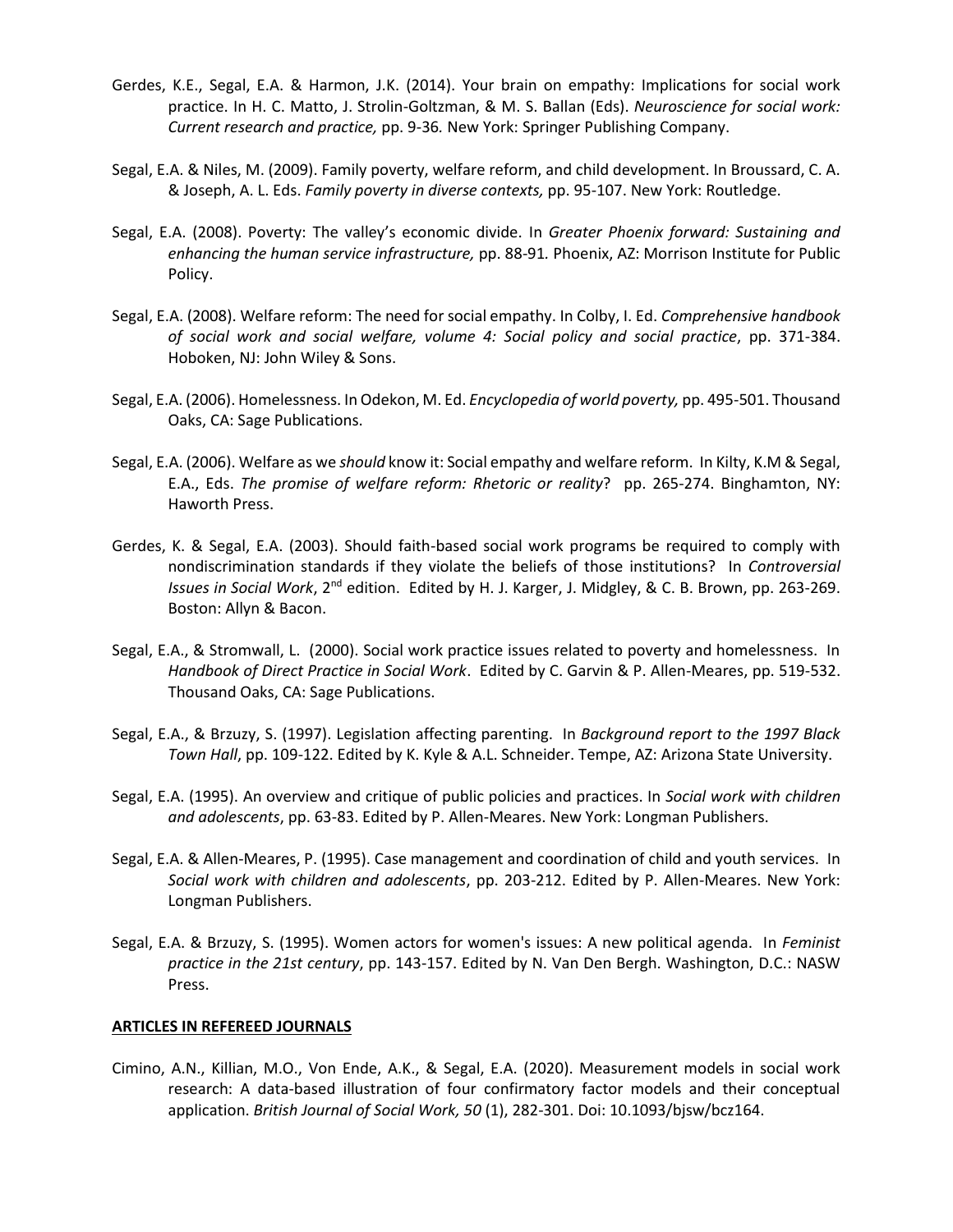- Gerdes, K.E., Segal, E.A. & Harmon, J.K. (2014). Your brain on empathy: Implications for social work practice. In H. C. Matto, J. Strolin-Goltzman, & M. S. Ballan (Eds). *Neuroscience for social work: Current research and practice,* pp. 9-36*.* New York: Springer Publishing Company.
- Segal, E.A. & Niles, M. (2009). Family poverty, welfare reform, and child development. In Broussard, C. A. & Joseph, A. L. Eds. *Family poverty in diverse contexts,* pp. 95-107. New York: Routledge.
- Segal, E.A. (2008). Poverty: The valley's economic divide. In *Greater Phoenix forward: Sustaining and enhancing the human service infrastructure,* pp. 88-91*.* Phoenix, AZ: Morrison Institute for Public Policy.
- Segal, E.A. (2008). Welfare reform: The need for social empathy. In Colby, I. Ed. *Comprehensive handbook of social work and social welfare, volume 4: Social policy and social practice*, pp. 371-384. Hoboken, NJ: John Wiley & Sons.
- Segal, E.A. (2006). Homelessness. In Odekon, M. Ed. *Encyclopedia of world poverty,* pp. 495-501. Thousand Oaks, CA: Sage Publications.
- Segal, E.A. (2006). Welfare as we *should* know it: Social empathy and welfare reform. In Kilty, K.M & Segal, E.A., Eds. *The promise of welfare reform: Rhetoric or reality*? pp. 265-274. Binghamton, NY: Haworth Press.
- Gerdes, K. & Segal, E.A. (2003). Should faith-based social work programs be required to comply with nondiscrimination standards if they violate the beliefs of those institutions? In *Controversial Issues in Social Work*, 2nd edition. Edited by H. J. Karger, J. Midgley, & C. B. Brown, pp. 263-269. Boston: Allyn & Bacon.
- Segal, E.A., & Stromwall, L. (2000). Social work practice issues related to poverty and homelessness. In *Handbook of Direct Practice in Social Work*. Edited by C. Garvin & P. Allen-Meares, pp. 519-532. Thousand Oaks, CA: Sage Publications.
- Segal, E.A., & Brzuzy, S. (1997). Legislation affecting parenting. In *Background report to the 1997 Black Town Hall*, pp. 109-122. Edited by K. Kyle & A.L. Schneider. Tempe, AZ: Arizona State University.
- Segal, E.A. (1995). An overview and critique of public policies and practices. In *Social work with children and adolescents*, pp. 63-83. Edited by P. Allen-Meares. New York: Longman Publishers.
- Segal, E.A. & Allen-Meares, P. (1995). Case management and coordination of child and youth services. In *Social work with children and adolescents*, pp. 203-212. Edited by P. Allen-Meares. New York: Longman Publishers.
- Segal, E.A. & Brzuzy, S. (1995). Women actors for women's issues: A new political agenda. In *Feminist practice in the 21st century*, pp. 143-157. Edited by N. Van Den Bergh. Washington, D.C.: NASW Press.

## **ARTICLES IN REFEREED JOURNALS**

Cimino, A.N., Killian, M.O., Von Ende, A.K., & Segal, E.A. (2020). Measurement models in social work research: A data-based illustration of four confirmatory factor models and their conceptual application. *British Journal of Social Work, 50* (1), 282-301. Doi: 10.1093/bjsw/bcz164.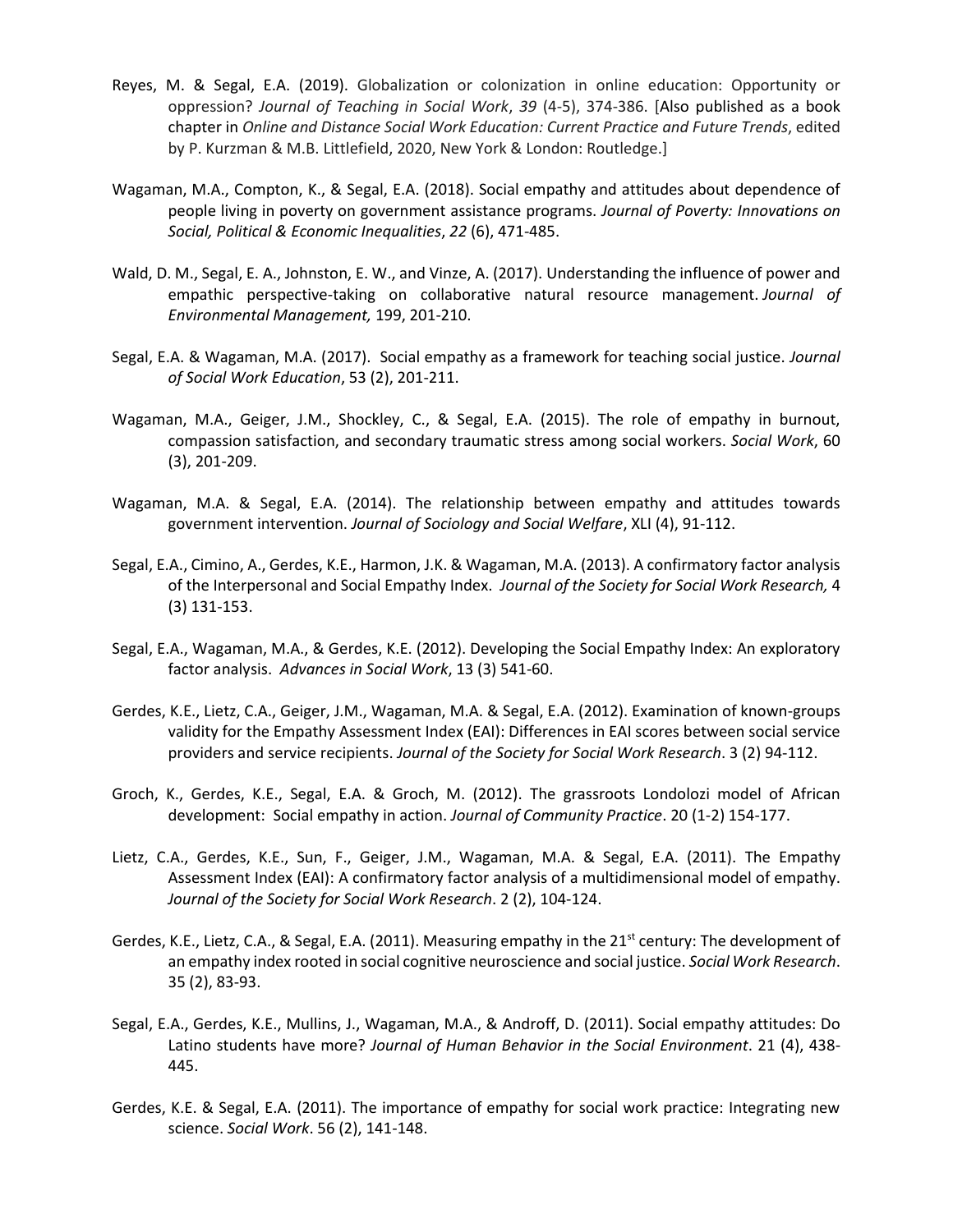- Reyes, M. & Segal, E.A. (2019). Globalization or colonization in online education: Opportunity or oppression? *Journal of Teaching in Social Work*, *39* (4-5), 374-386. [Also published as a book chapter in *Online and Distance Social Work Education: Current Practice and Future Trends*, edited by P. Kurzman & M.B. Littlefield, 2020, New York & London: Routledge.]
- Wagaman, M.A., Compton, K., & Segal, E.A. (2018). Social empathy and attitudes about dependence of people living in poverty on government assistance programs. *Journal of Poverty: Innovations on Social, Political & Economic Inequalities*, *22* (6), 471-485.
- Wald, D. M., Segal, E. A., Johnston, E. W., and Vinze, A. (2017). Understanding the influence of power and empathic perspective-taking on collaborative natural resource management. *Journal of Environmental Management,* 199, 201-210.
- Segal, E.A. & Wagaman, M.A. (2017). Social empathy as a framework for teaching social justice. *Journal of Social Work Education*, 53 (2), 201-211.
- Wagaman, M.A., Geiger, J.M., Shockley, C., & Segal, E.A. (2015). The role of empathy in burnout, compassion satisfaction, and secondary traumatic stress among social workers. *Social Work*, 60 (3), 201-209.
- Wagaman, M.A. & Segal, E.A. (2014). The relationship between empathy and attitudes towards government intervention. *Journal of Sociology and Social Welfare*, XLI (4), 91-112.
- Segal, E.A., Cimino, A., Gerdes, K.E., Harmon, J.K. & Wagaman, M.A. (2013). A confirmatory factor analysis of the Interpersonal and Social Empathy Index. *Journal of the Society for Social Work Research,* 4 (3) 131-153.
- Segal, E.A., Wagaman, M.A., & Gerdes, K.E. (2012). Developing the Social Empathy Index: An exploratory factor analysis. *Advances in Social Work*, 13 (3) 541-60.
- Gerdes, K.E., Lietz, C.A., Geiger, J.M., Wagaman, M.A. & Segal, E.A. (2012). Examination of known-groups validity for the Empathy Assessment Index (EAI): Differences in EAI scores between social service providers and service recipients. *Journal of the Society for Social Work Research*. 3 (2) 94-112.
- Groch, K., Gerdes, K.E., Segal, E.A. & Groch, M. (2012). The grassroots Londolozi model of African development: Social empathy in action. *Journal of Community Practice*. 20 (1-2) 154-177.
- Lietz, C.A., Gerdes, K.E., Sun, F., Geiger, J.M., Wagaman, M.A. & Segal, E.A. (2011). The Empathy Assessment Index (EAI): A confirmatory factor analysis of a multidimensional model of empathy. *Journal of the Society for Social Work Research*. 2 (2), 104-124.
- Gerdes, K.E., Lietz, C.A., & Segal, E.A. (2011). Measuring empathy in the 21<sup>st</sup> century: The development of an empathy index rooted in social cognitive neuroscience and social justice. *Social Work Research*. 35 (2), 83-93.
- Segal, E.A., Gerdes, K.E., Mullins, J., Wagaman, M.A., & Androff, D. (2011). Social empathy attitudes: Do Latino students have more? *Journal of Human Behavior in the Social Environment*. 21 (4), 438- 445.
- Gerdes, K.E. & Segal, E.A. (2011). The importance of empathy for social work practice: Integrating new science. *Social Work*. 56 (2), 141-148.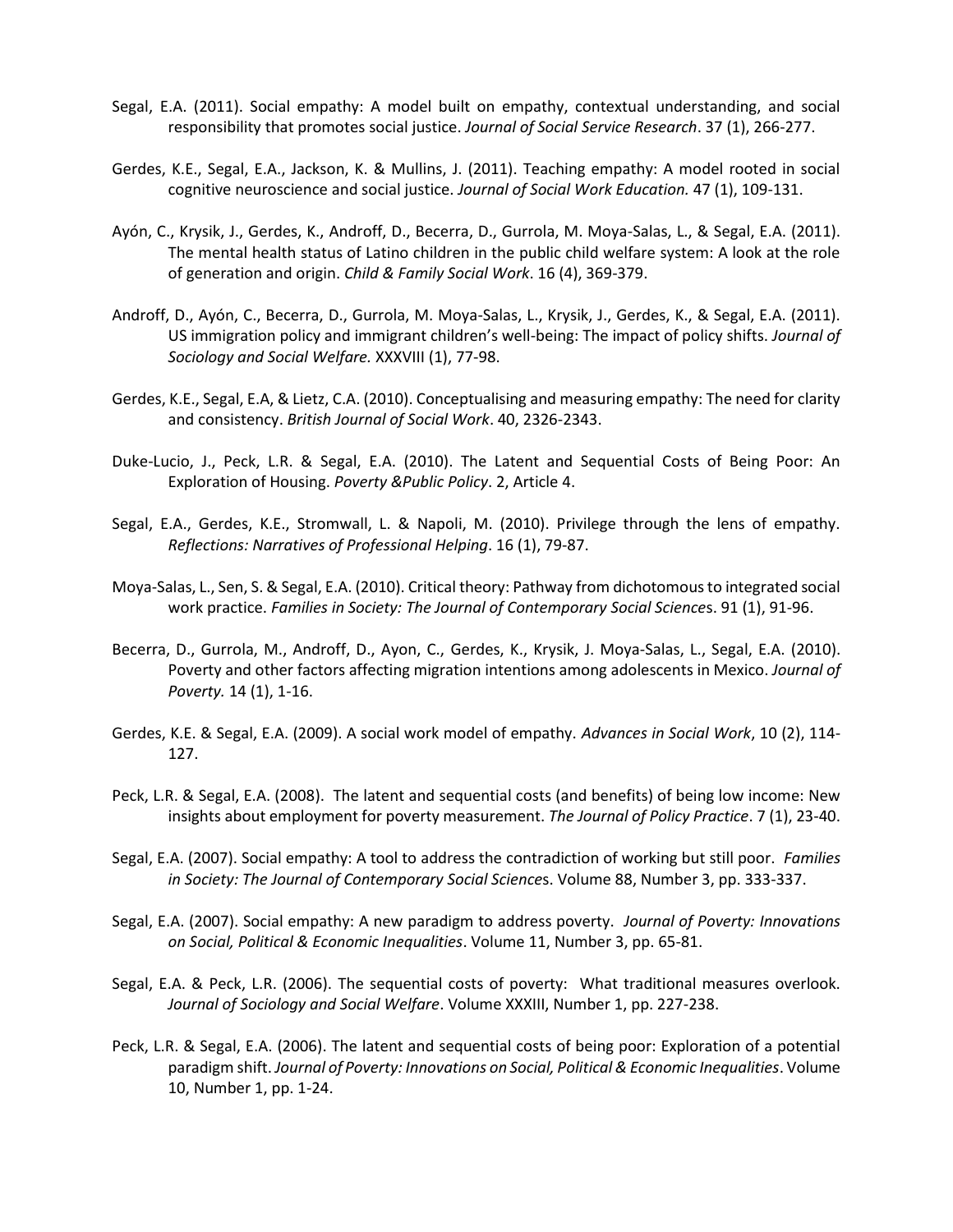- Segal, E.A. (2011). Social empathy: A model built on empathy, contextual understanding, and social responsibility that promotes social justice. *Journal of Social Service Research*. 37 (1), 266-277.
- Gerdes, K.E., Segal, E.A., Jackson, K. & Mullins, J. (2011). Teaching empathy: A model rooted in social cognitive neuroscience and social justice. *Journal of Social Work Education.* 47 (1), 109-131.
- Ayón, C., Krysik, J., Gerdes, K., Androff, D., Becerra, D., Gurrola, M. Moya-Salas, L., & Segal, E.A. (2011). The mental health status of Latino children in the public child welfare system: A look at the role of generation and origin. *Child & Family Social Work*. 16 (4), 369-379.
- Androff, D., Ayón, C., Becerra, D., Gurrola, M. Moya-Salas, L., Krysik, J., Gerdes, K., & Segal, E.A. (2011). US immigration policy and immigrant children's well-being: The impact of policy shifts. *Journal of Sociology and Social Welfare.* XXXVIII (1), 77-98.
- Gerdes, K.E., Segal, E.A, & Lietz, C.A. (2010). Conceptualising and measuring empathy: The need for clarity and consistency. *British Journal of Social Work*. 40, 2326-2343.
- Duke-Lucio, J., Peck, L.R. & Segal, E.A. (2010). The Latent and Sequential Costs of Being Poor: An Exploration of Housing. *Poverty &Public Policy*. 2, Article 4.
- Segal, E.A., Gerdes, K.E., Stromwall, L. & Napoli, M. (2010). Privilege through the lens of empathy. *Reflections: Narratives of Professional Helping*. 16 (1), 79-87.
- Moya-Salas, L., Sen, S. & Segal, E.A. (2010). Critical theory: Pathway from dichotomous to integrated social work practice. *Families in Society: The Journal of Contemporary Social Science*s. 91 (1), 91-96.
- Becerra, D., Gurrola, M., Androff, D., Ayon, C., Gerdes, K., Krysik, J. Moya-Salas, L., Segal, E.A. (2010). Poverty and other factors affecting migration intentions among adolescents in Mexico. *Journal of Poverty.* 14 (1), 1-16.
- Gerdes, K.E. & Segal, E.A. (2009). A social work model of empathy. *Advances in Social Work*, 10 (2), 114- 127.
- Peck, L.R. & Segal, E.A. (2008). The latent and sequential costs (and benefits) of being low income: New insights about employment for poverty measurement. *The Journal of Policy Practice*. 7 (1), 23-40.
- Segal, E.A. (2007). Social empathy: A tool to address the contradiction of working but still poor. *Families in Society: The Journal of Contemporary Social Science*s. Volume 88, Number 3, pp. 333-337.
- Segal, E.A. (2007). Social empathy: A new paradigm to address poverty. *Journal of Poverty: Innovations on Social, Political & Economic Inequalities*. Volume 11, Number 3, pp. 65-81.
- Segal, E.A. & Peck, L.R. (2006). The sequential costs of poverty: What traditional measures overlook. *Journal of Sociology and Social Welfare*. Volume XXXIII, Number 1, pp. 227-238.
- Peck, L.R. & Segal, E.A. (2006). The latent and sequential costs of being poor: Exploration of a potential paradigm shift. *Journal of Poverty: Innovations on Social, Political & Economic Inequalities*. Volume 10, Number 1, pp. 1-24.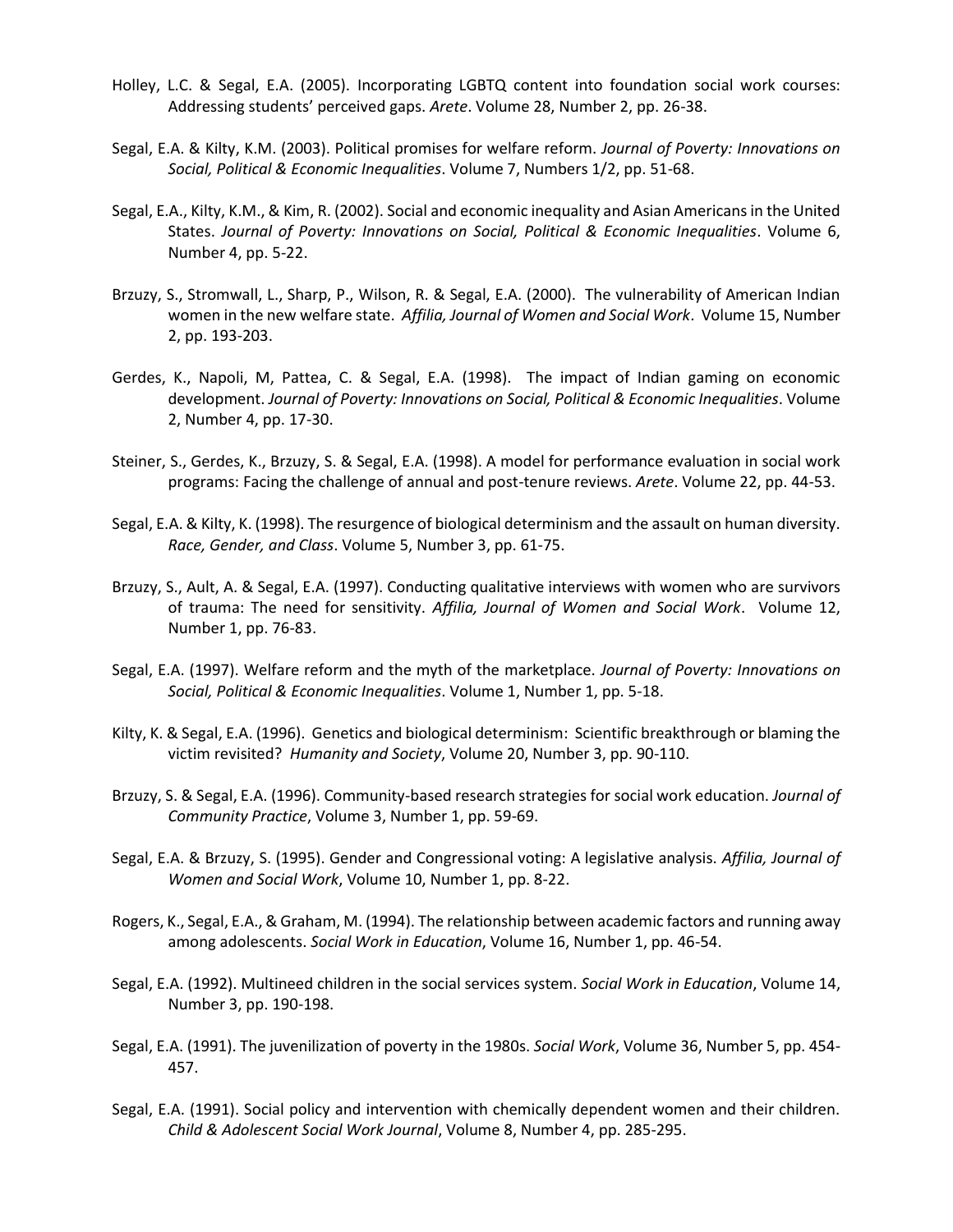- Holley, L.C. & Segal, E.A. (2005). Incorporating LGBTQ content into foundation social work courses: Addressing students' perceived gaps. *Arete*. Volume 28, Number 2, pp. 26-38.
- Segal, E.A. & Kilty, K.M. (2003). Political promises for welfare reform. *Journal of Poverty: Innovations on Social, Political & Economic Inequalities*. Volume 7, Numbers 1/2, pp. 51-68.
- Segal, E.A., Kilty, K.M., & Kim, R. (2002). Social and economic inequality and Asian Americans in the United States. *Journal of Poverty: Innovations on Social, Political & Economic Inequalities*. Volume 6, Number 4, pp. 5-22.
- Brzuzy, S., Stromwall, L., Sharp, P., Wilson, R. & Segal, E.A. (2000). The vulnerability of American Indian women in the new welfare state.*Affilia, Journal of Women and Social Work*. Volume 15, Number 2, pp. 193-203.
- Gerdes, K., Napoli, M, Pattea, C. & Segal, E.A. (1998). The impact of Indian gaming on economic development. *Journal of Poverty: Innovations on Social, Political & Economic Inequalities*. Volume 2, Number 4, pp. 17-30.
- Steiner, S., Gerdes, K., Brzuzy, S. & Segal, E.A. (1998). A model for performance evaluation in social work programs: Facing the challenge of annual and post-tenure reviews. *Arete*. Volume 22, pp. 44-53.
- Segal, E.A. & Kilty, K. (1998). The resurgence of biological determinism and the assault on human diversity. *Race, Gender, and Class*. Volume 5, Number 3, pp. 61-75.
- Brzuzy, S., Ault, A. & Segal, E.A. (1997). Conducting qualitative interviews with women who are survivors of trauma: The need for sensitivity. *Affilia, Journal of Women and Social Work*. Volume 12, Number 1, pp. 76-83.
- Segal, E.A. (1997). Welfare reform and the myth of the marketplace. *Journal of Poverty: Innovations on Social, Political & Economic Inequalities*. Volume 1, Number 1, pp. 5-18.
- Kilty, K. & Segal, E.A. (1996). Genetics and biological determinism: Scientific breakthrough or blaming the victim revisited? *Humanity and Society*, Volume 20, Number 3, pp. 90-110.
- Brzuzy, S. & Segal, E.A. (1996). Community-based research strategies for social work education. *Journal of Community Practice*, Volume 3, Number 1, pp. 59-69.
- Segal, E.A. & Brzuzy, S. (1995). Gender and Congressional voting: A legislative analysis. *Affilia, Journal of Women and Social Work*, Volume 10, Number 1, pp. 8-22.
- Rogers, K., Segal, E.A., & Graham, M. (1994). The relationship between academic factors and running away among adolescents. *Social Work in Education*, Volume 16, Number 1, pp. 46-54.
- Segal, E.A. (1992). Multineed children in the social services system. *Social Work in Education*, Volume 14, Number 3, pp. 190-198.
- Segal, E.A. (1991). The juvenilization of poverty in the 1980s. *Social Work*, Volume 36, Number 5, pp. 454- 457.
- Segal, E.A. (1991). Social policy and intervention with chemically dependent women and their children. *Child & Adolescent Social Work Journal*, Volume 8, Number 4, pp. 285-295.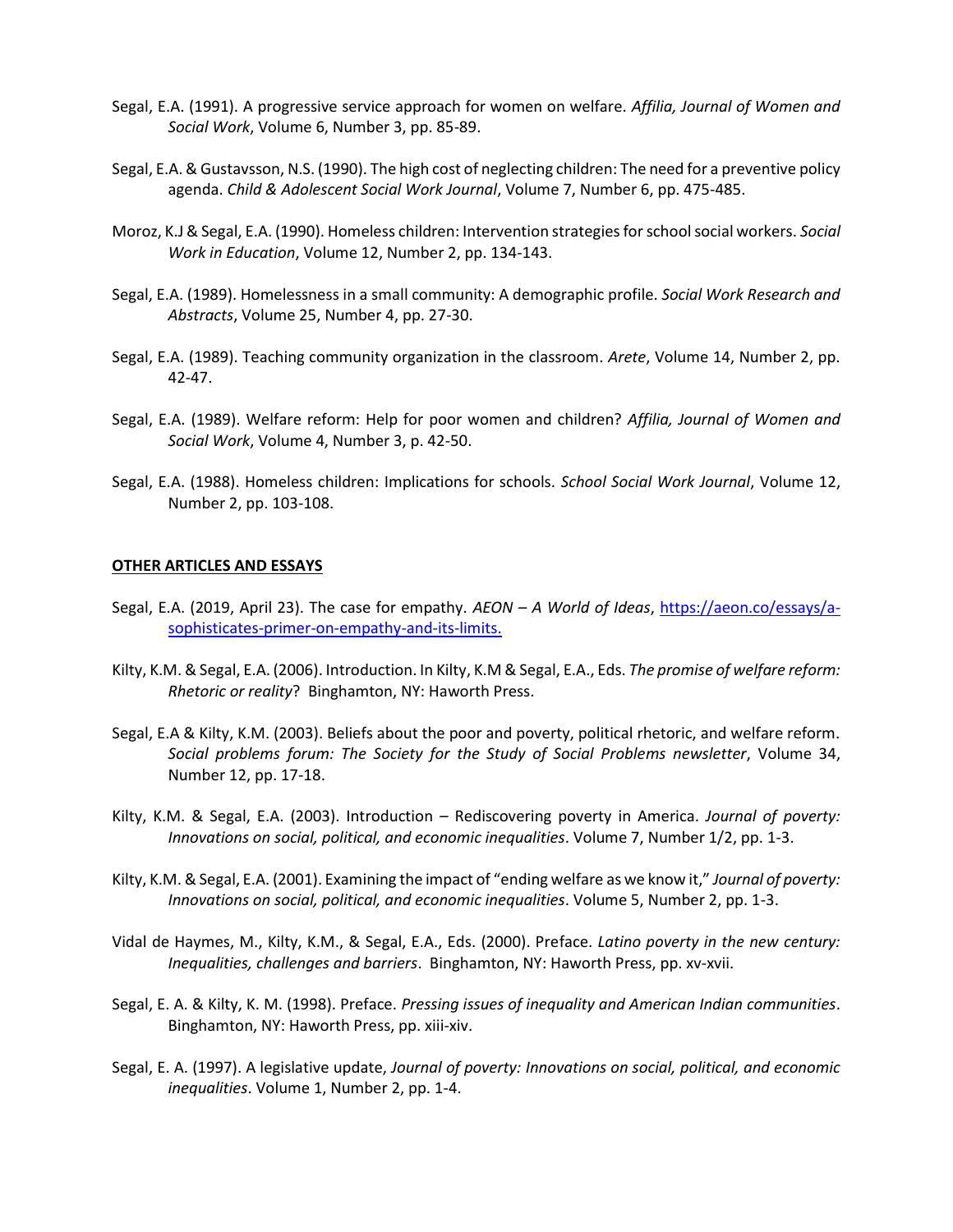- Segal, E.A. (1991). A progressive service approach for women on welfare. *Affilia, Journal of Women and Social Work*, Volume 6, Number 3, pp. 85-89.
- Segal, E.A. & Gustavsson, N.S. (1990). The high cost of neglecting children: The need for a preventive policy agenda. *Child & Adolescent Social Work Journal*, Volume 7, Number 6, pp. 475-485.
- Moroz, K.J & Segal, E.A. (1990). Homeless children: Intervention strategies for school social workers. *Social Work in Education*, Volume 12, Number 2, pp. 134-143.
- Segal, E.A. (1989). Homelessness in a small community: A demographic profile. *Social Work Research and Abstracts*, Volume 25, Number 4, pp. 27-30.
- Segal, E.A. (1989). Teaching community organization in the classroom. *Arete*, Volume 14, Number 2, pp. 42-47.
- Segal, E.A. (1989). Welfare reform: Help for poor women and children? *Affilia, Journal of Women and Social Work*, Volume 4, Number 3, p. 42-50.
- Segal, E.A. (1988). Homeless children: Implications for schools. *School Social Work Journal*, Volume 12, Number 2, pp. 103-108.

#### **OTHER ARTICLES AND ESSAYS**

- Segal, E.A. (2019, April 23). The case for empathy. *AEON – A World of Ideas*, [https://aeon.co/essays/a](https://aeon.co/essays/a-sophisticates-primer-on-empathy-and-its-limits)[sophisticates-primer-on-empathy-and-its-limits.](https://aeon.co/essays/a-sophisticates-primer-on-empathy-and-its-limits)
- Kilty, K.M. & Segal, E.A. (2006). Introduction. In Kilty, K.M & Segal, E.A., Eds. *The promise of welfare reform: Rhetoric or reality*? Binghamton, NY: Haworth Press.
- Segal, E.A & Kilty, K.M. (2003). Beliefs about the poor and poverty, political rhetoric, and welfare reform. *Social problems forum: The Society for the Study of Social Problems newsletter*, Volume 34, Number 12, pp. 17-18.
- Kilty, K.M. & Segal, E.A. (2003). Introduction Rediscovering poverty in America. *Journal of poverty: Innovations on social, political, and economic inequalities*. Volume 7, Number 1/2, pp. 1-3.
- Kilty, K.M. & Segal, E.A. (2001). Examining the impact of "ending welfare as we know it," *Journal of poverty: Innovations on social, political, and economic inequalities*. Volume 5, Number 2, pp. 1-3.
- Vidal de Haymes, M., Kilty, K.M., & Segal, E.A., Eds. (2000). Preface. *Latino poverty in the new century: Inequalities, challenges and barriers*. Binghamton, NY: Haworth Press, pp. xv-xvii.
- Segal, E. A. & Kilty, K. M. (1998). Preface. *Pressing issues of inequality and American Indian communities*. Binghamton, NY: Haworth Press, pp. xiii-xiv.
- Segal, E. A. (1997). A legislative update, *Journal of poverty: Innovations on social, political, and economic inequalities*. Volume 1, Number 2, pp. 1-4.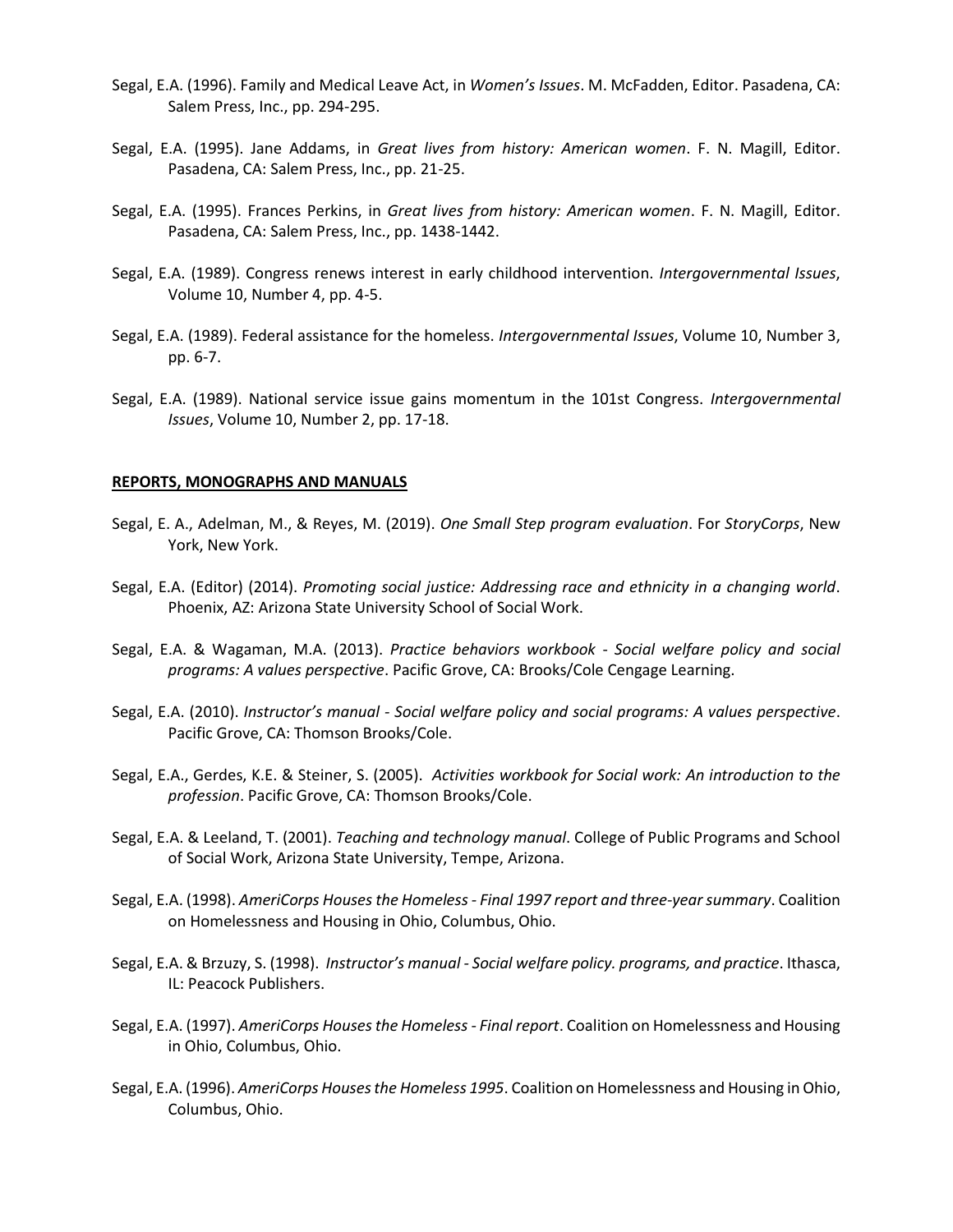- Segal, E.A. (1996). Family and Medical Leave Act, in *Women's Issues*. M. McFadden, Editor. Pasadena, CA: Salem Press, Inc., pp. 294-295.
- Segal, E.A. (1995). Jane Addams, in *Great lives from history: American women*. F. N. Magill, Editor. Pasadena, CA: Salem Press, Inc., pp. 21-25.
- Segal, E.A. (1995). Frances Perkins, in *Great lives from history: American women*. F. N. Magill, Editor. Pasadena, CA: Salem Press, Inc., pp. 1438-1442.
- Segal, E.A. (1989). Congress renews interest in early childhood intervention. *Intergovernmental Issues*, Volume 10, Number 4, pp. 4-5.
- Segal, E.A. (1989). Federal assistance for the homeless. *Intergovernmental Issues*, Volume 10, Number 3, pp. 6-7.
- Segal, E.A. (1989). National service issue gains momentum in the 101st Congress. *Intergovernmental Issues*, Volume 10, Number 2, pp. 17-18.

#### **REPORTS, MONOGRAPHS AND MANUALS**

- Segal, E. A., Adelman, M., & Reyes, M. (2019). *One Small Step program evaluation*. For *StoryCorps*, New York, New York.
- Segal, E.A. (Editor) (2014). *Promoting social justice: Addressing race and ethnicity in a changing world*. Phoenix, AZ: Arizona State University School of Social Work.
- Segal, E.A. & Wagaman, M.A. (2013). *Practice behaviors workbook Social welfare policy and social programs: A values perspective*. Pacific Grove, CA: Brooks/Cole Cengage Learning.
- Segal, E.A. (2010). *Instructor's manual - Social welfare policy and social programs: A values perspective*. Pacific Grove, CA: Thomson Brooks/Cole.
- Segal, E.A., Gerdes, K.E. & Steiner, S. (2005). *Activities workbook for Social work: An introduction to the profession*. Pacific Grove, CA: Thomson Brooks/Cole.
- Segal, E.A. & Leeland, T. (2001). *Teaching and technology manual*. College of Public Programs and School of Social Work, Arizona State University, Tempe, Arizona.
- Segal, E.A. (1998). *AmeriCorps Houses the Homeless - Final 1997 report and three-yearsummary*. Coalition on Homelessness and Housing in Ohio, Columbus, Ohio.
- Segal, E.A. & Brzuzy, S. (1998). *Instructor's manual - Social welfare policy. programs, and practice*. Ithasca, IL: Peacock Publishers.
- Segal, E.A. (1997). *AmeriCorps Houses the Homeless - Final report*. Coalition on Homelessness and Housing in Ohio, Columbus, Ohio.
- Segal, E.A. (1996). *AmeriCorps Houses the Homeless 1995*. Coalition on Homelessness and Housing in Ohio, Columbus, Ohio.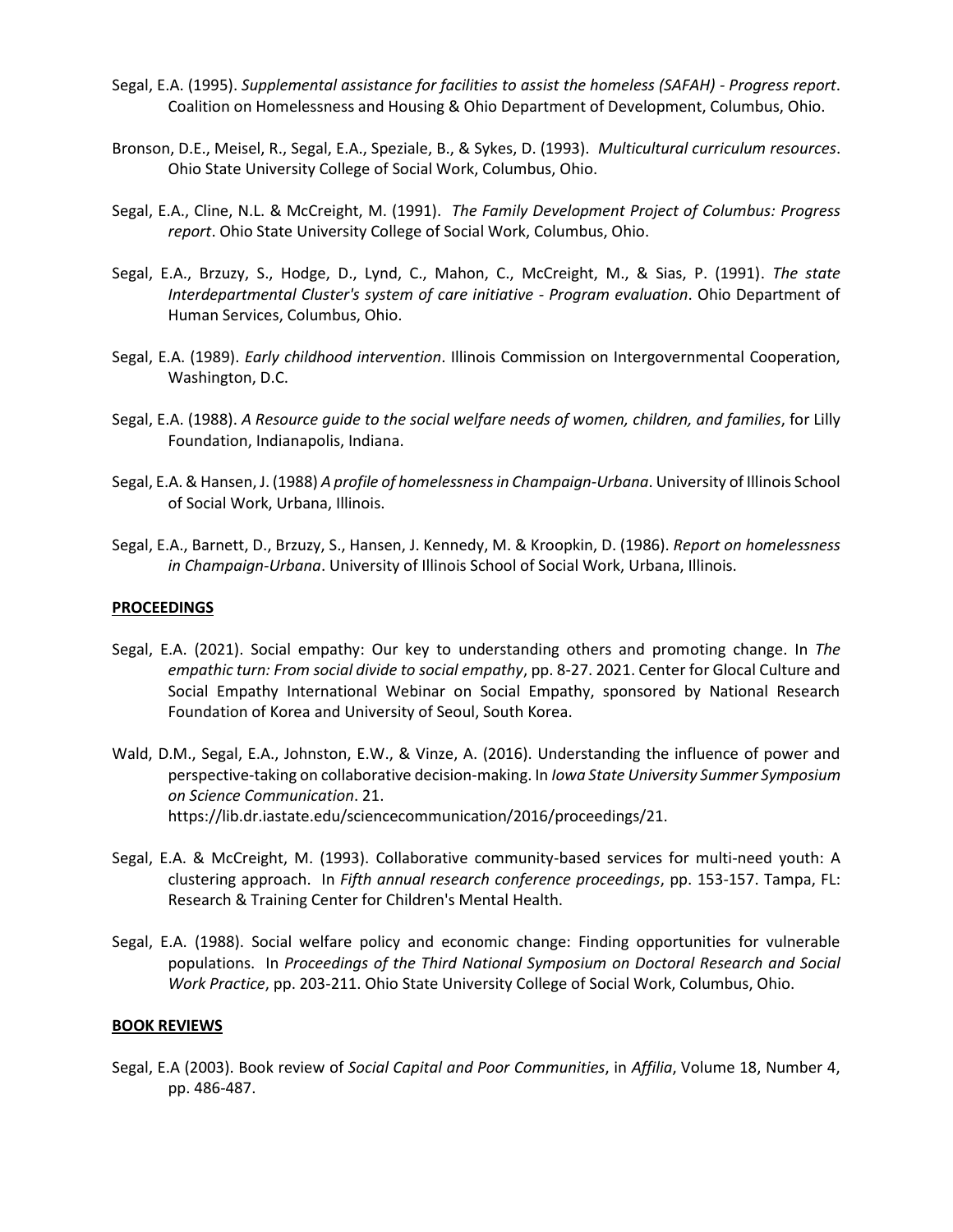- Segal, E.A. (1995). *Supplemental assistance for facilities to assist the homeless (SAFAH) - Progress report*. Coalition on Homelessness and Housing & Ohio Department of Development, Columbus, Ohio.
- Bronson, D.E., Meisel, R., Segal, E.A., Speziale, B., & Sykes, D. (1993). *Multicultural curriculum resources*. Ohio State University College of Social Work, Columbus, Ohio.
- Segal, E.A., Cline, N.L. & McCreight, M. (1991). *The Family Development Project of Columbus: Progress report*. Ohio State University College of Social Work, Columbus, Ohio.
- Segal, E.A., Brzuzy, S., Hodge, D., Lynd, C., Mahon, C., McCreight, M., & Sias, P. (1991). *The state Interdepartmental Cluster's system of care initiative - Program evaluation*. Ohio Department of Human Services, Columbus, Ohio.
- Segal, E.A. (1989). *Early childhood intervention*. Illinois Commission on Intergovernmental Cooperation, Washington, D.C.
- Segal, E.A. (1988). *A Resource guide to the social welfare needs of women, children, and families*, for Lilly Foundation, Indianapolis, Indiana.
- Segal, E.A. & Hansen, J. (1988) *A profile of homelessness in Champaign-Urbana*. University of Illinois School of Social Work, Urbana, Illinois.
- Segal, E.A., Barnett, D., Brzuzy, S., Hansen, J. Kennedy, M. & Kroopkin, D. (1986). *Report on homelessness in Champaign-Urbana*. University of Illinois School of Social Work, Urbana, Illinois.

# **PROCEEDINGS**

- Segal, E.A. (2021). Social empathy: Our key to understanding others and promoting change. In *The empathic turn: From social divide to social empathy*, pp. 8-27. 2021. Center for Glocal Culture and Social Empathy International Webinar on Social Empathy, sponsored by National Research Foundation of Korea and University of Seoul, South Korea.
- Wald, D.M., Segal, E.A., Johnston, E.W., & Vinze, A. (2016). Understanding the influence of power and perspective-taking on collaborative decision-making. In *Iowa State University Summer Symposium on Science Communication*. 21. https://lib.dr.iastate.edu/sciencecommunication/2016/proceedings/21.
- Segal, E.A. & McCreight, M. (1993). Collaborative community-based services for multi-need youth: A clustering approach. In *Fifth annual research conference proceedings*, pp. 153-157. Tampa, FL: Research & Training Center for Children's Mental Health.
- Segal, E.A. (1988). Social welfare policy and economic change: Finding opportunities for vulnerable populations. In *Proceedings of the Third National Symposium on Doctoral Research and Social Work Practice*, pp. 203-211. Ohio State University College of Social Work, Columbus, Ohio.

# **BOOK REVIEWS**

Segal, E.A (2003). Book review of *Social Capital and Poor Communities*, in *Affilia*, Volume 18, Number 4, pp. 486-487.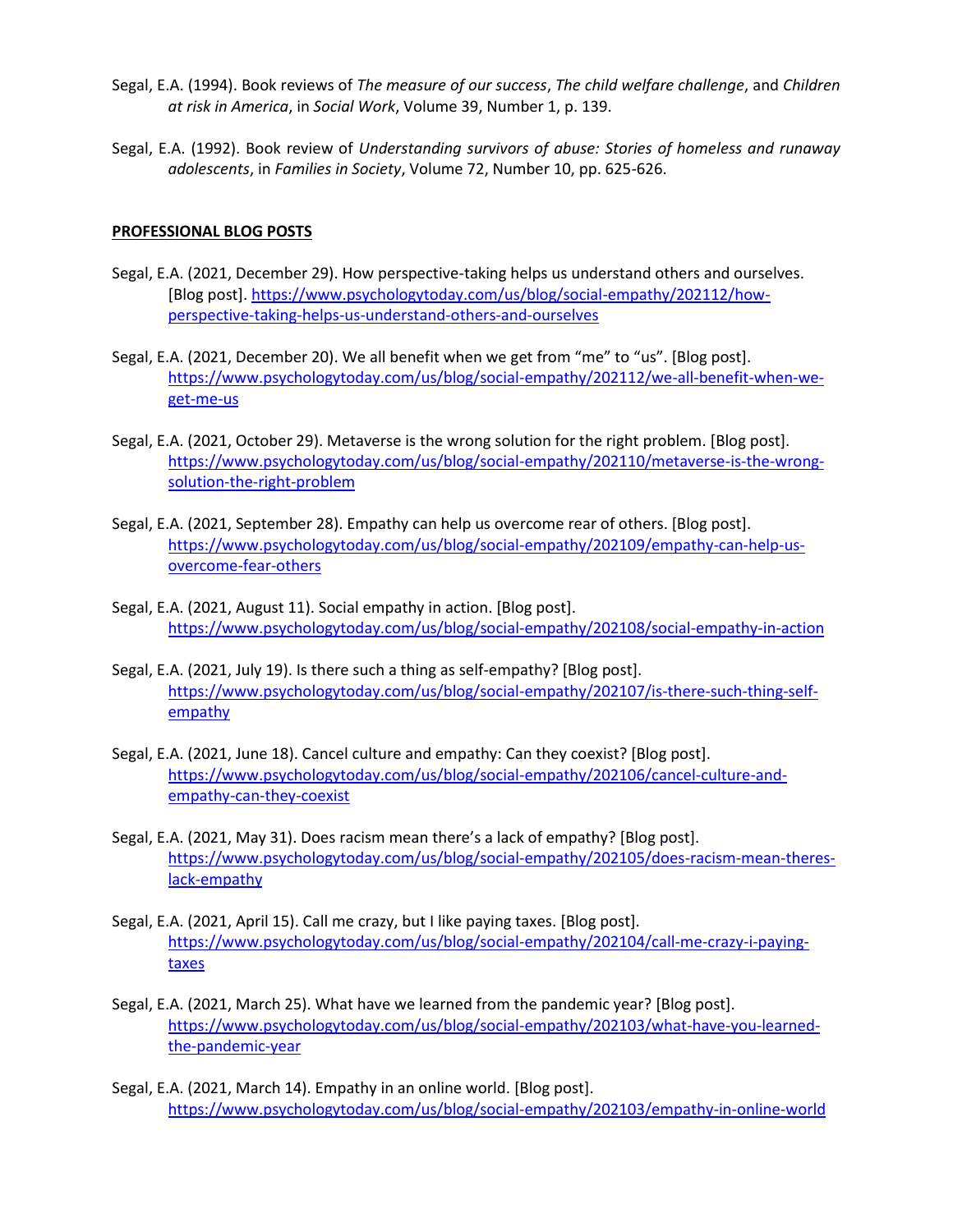- Segal, E.A. (1994). Book reviews of *The measure of our success*, *The child welfare challenge*, and *Children at risk in America*, in *Social Work*, Volume 39, Number 1, p. 139.
- Segal, E.A. (1992). Book review of *Understanding survivors of abuse: Stories of homeless and runaway adolescents*, in *Families in Society*, Volume 72, Number 10, pp. 625-626.

# **PROFESSIONAL BLOG POSTS**

- Segal, E.A. (2021, December 29). How perspective-taking helps us understand others and ourselves. [Blog post][. https://www.psychologytoday.com/us/blog/social-empathy/202112/how](https://www.psychologytoday.com/us/blog/social-empathy/202112/how-perspective-taking-helps-us-understand-others-and-ourselves)[perspective-taking-helps-us-understand-others-and-ourselves](https://www.psychologytoday.com/us/blog/social-empathy/202112/how-perspective-taking-helps-us-understand-others-and-ourselves)
- Segal, E.A. (2021, December 20). We all benefit when we get from "me" to "us". [Blog post]. [https://www.psychologytoday.com/us/blog/social-empathy/202112/we-all-benefit-when-we](https://www.psychologytoday.com/us/blog/social-empathy/202112/we-all-benefit-when-we-get-me-us)[get-me-us](https://www.psychologytoday.com/us/blog/social-empathy/202112/we-all-benefit-when-we-get-me-us)
- Segal, E.A. (2021, October 29). Metaverse is the wrong solution for the right problem. [Blog post]. [https://www.psychologytoday.com/us/blog/social-empathy/202110/metaverse-is-the-wrong](https://www.psychologytoday.com/us/blog/social-empathy/202110/metaverse-is-the-wrong-solution-the-right-problem)[solution-the-right-problem](https://www.psychologytoday.com/us/blog/social-empathy/202110/metaverse-is-the-wrong-solution-the-right-problem)
- Segal, E.A. (2021, September 28). Empathy can help us overcome rear of others. [Blog post]. [https://www.psychologytoday.com/us/blog/social-empathy/202109/empathy-can-help-us](https://www.psychologytoday.com/us/blog/social-empathy/202109/empathy-can-help-us-overcome-fear-others)[overcome-fear-others](https://www.psychologytoday.com/us/blog/social-empathy/202109/empathy-can-help-us-overcome-fear-others)
- Segal, E.A. (2021, August 11). Social empathy in action. [Blog post]. <https://www.psychologytoday.com/us/blog/social-empathy/202108/social-empathy-in-action>
- Segal, E.A. (2021, July 19). Is there such a thing as self-empathy? [Blog post]. [https://www.psychologytoday.com/us/blog/social-empathy/202107/is-there-such-thing-self](https://www.psychologytoday.com/us/blog/social-empathy/202107/is-there-such-thing-self-empathy)[empathy](https://www.psychologytoday.com/us/blog/social-empathy/202107/is-there-such-thing-self-empathy)
- Segal, E.A. (2021, June 18). Cancel culture and empathy: Can they coexist? [Blog post]. [https://www.psychologytoday.com/us/blog/social-empathy/202106/cancel-culture-and](https://www.psychologytoday.com/us/blog/social-empathy/202106/cancel-culture-and-empathy-can-they-coexist)[empathy-can-they-coexist](https://www.psychologytoday.com/us/blog/social-empathy/202106/cancel-culture-and-empathy-can-they-coexist)
- Segal, E.A. (2021, May 31). Does racism mean there's a lack of empathy? [Blog post]. [https://www.psychologytoday.com/us/blog/social-empathy/202105/does-racism-mean-theres](https://www.psychologytoday.com/us/blog/social-empathy/202105/does-racism-mean-theres-lack-empathy)[lack-empathy](https://www.psychologytoday.com/us/blog/social-empathy/202105/does-racism-mean-theres-lack-empathy)
- Segal, E.A. (2021, April 15). Call me crazy, but I like paying taxes. [Blog post]. [https://www.psychologytoday.com/us/blog/social-empathy/202104/call-me-crazy-i-paying](https://www.psychologytoday.com/us/blog/social-empathy/202104/call-me-crazy-i-paying-taxes)[taxes](https://www.psychologytoday.com/us/blog/social-empathy/202104/call-me-crazy-i-paying-taxes)
- Segal, E.A. (2021, March 25). What have we learned from the pandemic year? [Blog post]. [https://www.psychologytoday.com/us/blog/social-empathy/202103/what-have-you-learned](https://www.psychologytoday.com/us/blog/social-empathy/202103/what-have-you-learned-the-pandemic-year)[the-pandemic-year](https://www.psychologytoday.com/us/blog/social-empathy/202103/what-have-you-learned-the-pandemic-year)
- Segal, E.A. (2021, March 14). Empathy in an online world. [Blog post]. <https://www.psychologytoday.com/us/blog/social-empathy/202103/empathy-in-online-world>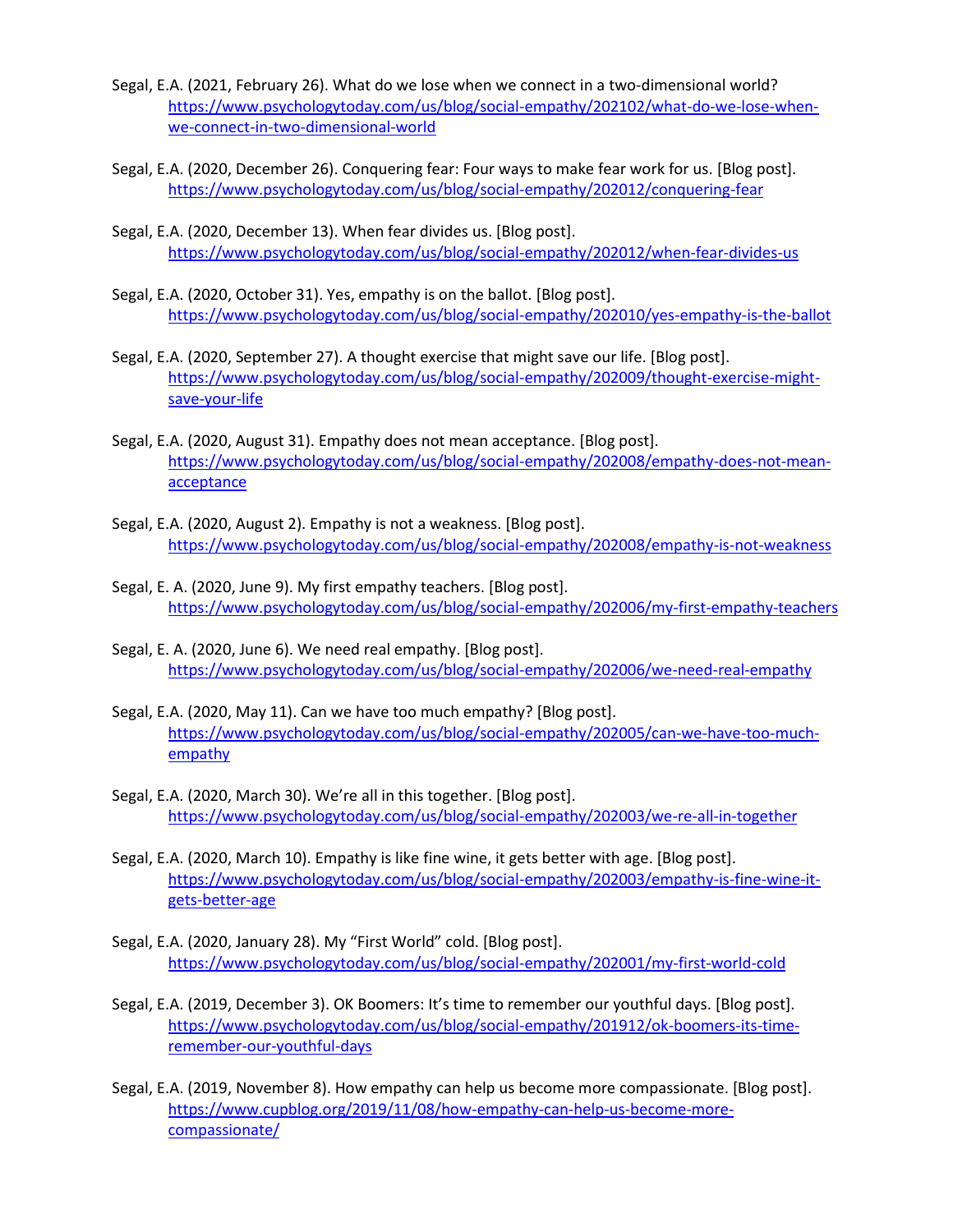- Segal, E.A. (2021, February 26). What do we lose when we connect in a two-dimensional world? [https://www.psychologytoday.com/us/blog/social-empathy/202102/what-do-we-lose-when](https://www.psychologytoday.com/us/blog/social-empathy/202102/what-do-we-lose-when-we-connect-in-two-dimensional-world)[we-connect-in-two-dimensional-world](https://www.psychologytoday.com/us/blog/social-empathy/202102/what-do-we-lose-when-we-connect-in-two-dimensional-world)
- Segal, E.A. (2020, December 26). Conquering fear: Four ways to make fear work for us. [Blog post]. <https://www.psychologytoday.com/us/blog/social-empathy/202012/conquering-fear>
- Segal, E.A. (2020, December 13). When fear divides us. [Blog post]. <https://www.psychologytoday.com/us/blog/social-empathy/202012/when-fear-divides-us>
- Segal, E.A. (2020, October 31). Yes, empathy is on the ballot. [Blog post]. <https://www.psychologytoday.com/us/blog/social-empathy/202010/yes-empathy-is-the-ballot>
- Segal, E.A. (2020, September 27). A thought exercise that might save our life. [Blog post]. [https://www.psychologytoday.com/us/blog/social-empathy/202009/thought-exercise-might](https://www.psychologytoday.com/us/blog/social-empathy/202009/thought-exercise-might-save-your-life)[save-your-life](https://www.psychologytoday.com/us/blog/social-empathy/202009/thought-exercise-might-save-your-life)
- Segal, E.A. (2020, August 31). Empathy does not mean acceptance. [Blog post]. [https://www.psychologytoday.com/us/blog/social-empathy/202008/empathy-does-not-mean](https://www.psychologytoday.com/us/blog/social-empathy/202008/empathy-does-not-mean-acceptance)[acceptance](https://www.psychologytoday.com/us/blog/social-empathy/202008/empathy-does-not-mean-acceptance)
- Segal, E.A. (2020, August 2). Empathy is not a weakness. [Blog post]. <https://www.psychologytoday.com/us/blog/social-empathy/202008/empathy-is-not-weakness>
- Segal, E. A. (2020, June 9). My first empathy teachers. [Blog post]. <https://www.psychologytoday.com/us/blog/social-empathy/202006/my-first-empathy-teachers>
- Segal, E. A. (2020, June 6). We need real empathy. [Blog post]. <https://www.psychologytoday.com/us/blog/social-empathy/202006/we-need-real-empathy>
- Segal, E.A. (2020, May 11). Can we have too much empathy? [Blog post]. [https://www.psychologytoday.com/us/blog/social-empathy/202005/can-we-have-too-much](https://www.psychologytoday.com/us/blog/social-empathy/202005/can-we-have-too-much-empathy)[empathy](https://www.psychologytoday.com/us/blog/social-empathy/202005/can-we-have-too-much-empathy)
- Segal, E.A. (2020, March 30). We're all in this together. [Blog post]. <https://www.psychologytoday.com/us/blog/social-empathy/202003/we-re-all-in-together>
- Segal, E.A. (2020, March 10). Empathy is like fine wine, it gets better with age. [Blog post]. [https://www.psychologytoday.com/us/blog/social-empathy/202003/empathy-is-fine-wine-it](https://www.psychologytoday.com/us/blog/social-empathy/202003/empathy-is-fine-wine-it-gets-better-age)[gets-better-age](https://www.psychologytoday.com/us/blog/social-empathy/202003/empathy-is-fine-wine-it-gets-better-age)
- Segal, E.A. (2020, January 28). My "First World" cold. [Blog post]. <https://www.psychologytoday.com/us/blog/social-empathy/202001/my-first-world-cold>
- Segal, E.A. (2019, December 3). OK Boomers: It's time to remember our youthful days. [Blog post]. [https://www.psychologytoday.com/us/blog/social-empathy/201912/ok-boomers-its-time](https://www.psychologytoday.com/us/blog/social-empathy/201912/ok-boomers-its-time-remember-our-youthful-days)[remember-our-youthful-days](https://www.psychologytoday.com/us/blog/social-empathy/201912/ok-boomers-its-time-remember-our-youthful-days)
- Segal, E.A. (2019, November 8). How empathy can help us become more compassionate. [Blog post]. [https://www.cupblog.org/2019/11/08/how-empathy-can-help-us-become-more](https://www.cupblog.org/2019/11/08/how-empathy-can-help-us-become-more-compassionate/)[compassionate/](https://www.cupblog.org/2019/11/08/how-empathy-can-help-us-become-more-compassionate/)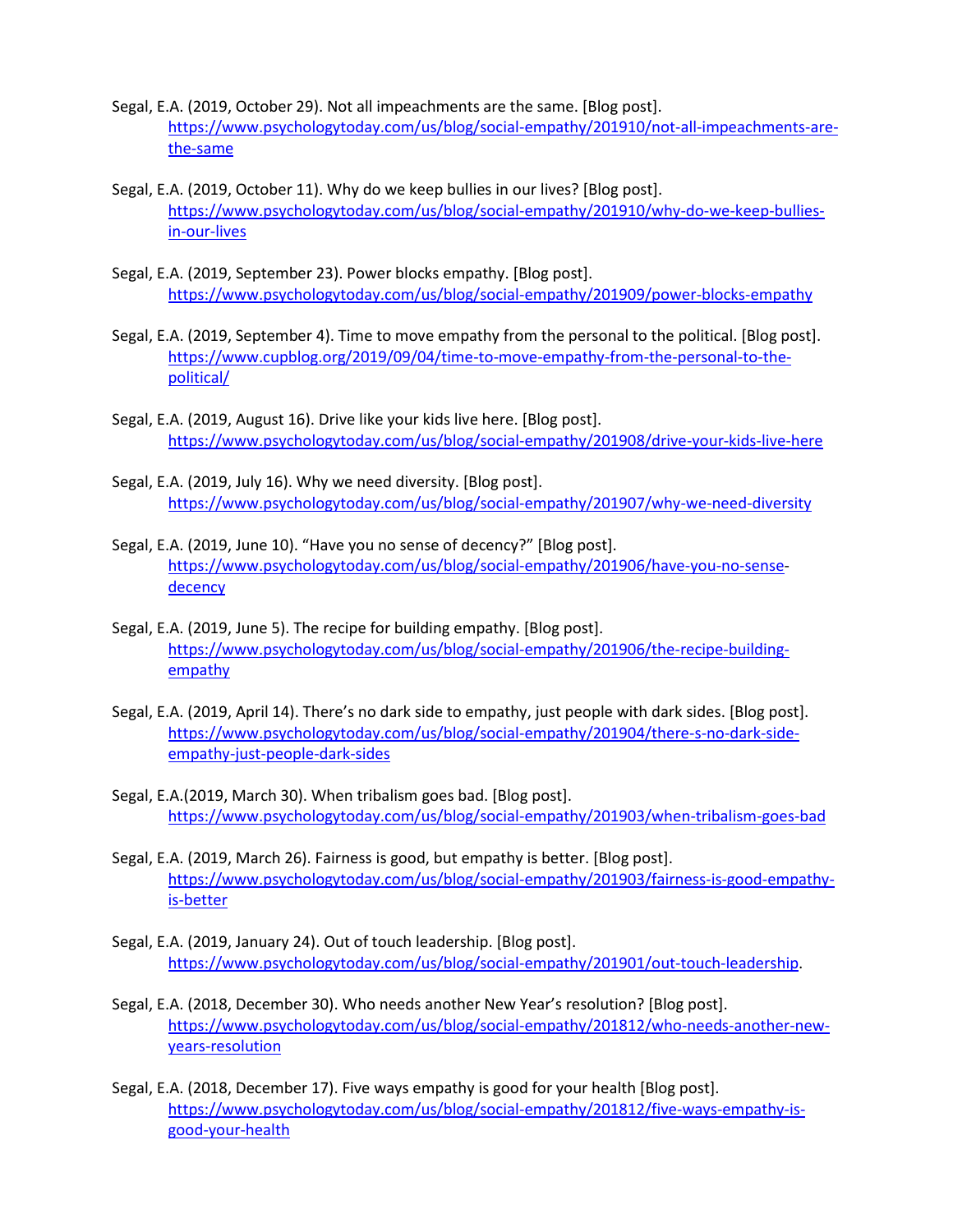- Segal, E.A. (2019, October 29). Not all impeachments are the same. [Blog post]. [https://www.psychologytoday.com/us/blog/social-empathy/201910/not-all-impeachments-are](https://www.psychologytoday.com/us/blog/social-empathy/201910/not-all-impeachments-are-the-same)[the-same](https://www.psychologytoday.com/us/blog/social-empathy/201910/not-all-impeachments-are-the-same)
- Segal, E.A. (2019, October 11). Why do we keep bullies in our lives? [Blog post]. [https://www.psychologytoday.com/us/blog/social-empathy/201910/why-do-we-keep-bullies](https://www.psychologytoday.com/us/blog/social-empathy/201910/why-do-we-keep-bullies-in-our-lives)[in-our-lives](https://www.psychologytoday.com/us/blog/social-empathy/201910/why-do-we-keep-bullies-in-our-lives)
- Segal, E.A. (2019, September 23). Power blocks empathy. [Blog post]. <https://www.psychologytoday.com/us/blog/social-empathy/201909/power-blocks-empathy>
- Segal, E.A. (2019, September 4). Time to move empathy from the personal to the political. [Blog post]. [https://www.cupblog.org/2019/09/04/time-to-move-empathy-from-the-personal-to-the](https://www.cupblog.org/2019/09/04/time-to-move-empathy-from-the-personal-to-the-political/)[political/](https://www.cupblog.org/2019/09/04/time-to-move-empathy-from-the-personal-to-the-political/)
- Segal, E.A. (2019, August 16). Drive like your kids live here. [Blog post]. <https://www.psychologytoday.com/us/blog/social-empathy/201908/drive-your-kids-live-here>
- Segal, E.A. (2019, July 16). Why we need diversity. [Blog post]. <https://www.psychologytoday.com/us/blog/social-empathy/201907/why-we-need-diversity>
- Segal, E.A. (2019, June 10). "Have you no sense of decency?" [Blog post]. <https://www.psychologytoday.com/us/blog/social-empathy/201906/have-you-no-sense>**decency**
- Segal, E.A. (2019, June 5). The recipe for building empathy. [Blog post]. [https://www.psychologytoday.com/us/blog/social-empathy/201906/the-recipe-building](https://www.psychologytoday.com/us/blog/social-empathy/201906/the-recipe-building-empathy)[empathy](https://www.psychologytoday.com/us/blog/social-empathy/201906/the-recipe-building-empathy)
- Segal, E.A. (2019, April 14). There's no dark side to empathy, just people with dark sides. [Blog post]. [https://www.psychologytoday.com/us/blog/social-empathy/201904/there-s-no-dark-side](https://www.psychologytoday.com/us/blog/social-empathy/201904/there-s-no-dark-side-empathy-just-people-dark-sides)[empathy-just-people-dark-sides](https://www.psychologytoday.com/us/blog/social-empathy/201904/there-s-no-dark-side-empathy-just-people-dark-sides)
- Segal, E.A.(2019, March 30). When tribalism goes bad. [Blog post]. <https://www.psychologytoday.com/us/blog/social-empathy/201903/when-tribalism-goes-bad>
- Segal, E.A. (2019, March 26). Fairness is good, but empathy is better. [Blog post]. [https://www.psychologytoday.com/us/blog/social-empathy/201903/fairness-is-good-empathy](https://www.psychologytoday.com/us/blog/social-empathy/201903/fairness-is-good-empathy-is-better)[is-better](https://www.psychologytoday.com/us/blog/social-empathy/201903/fairness-is-good-empathy-is-better)
- Segal, E.A. (2019, January 24). Out of touch leadership. [Blog post]. [https://www.psychologytoday.com/us/blog/social-empathy/201901/out-touch-leadership.](https://www.psychologytoday.com/us/blog/social-empathy/201901/out-touch-leadership)
- Segal, E.A. (2018, December 30). Who needs another New Year's resolution? [Blog post]. [https://www.psychologytoday.com/us/blog/social-empathy/201812/who-needs-another-new](https://www.psychologytoday.com/us/blog/social-empathy/201812/who-needs-another-new-years-resolution)[years-resolution](https://www.psychologytoday.com/us/blog/social-empathy/201812/who-needs-another-new-years-resolution)
- Segal, E.A. (2018, December 17). Five ways empathy is good for your health [Blog post]. [https://www.psychologytoday.com/us/blog/social-empathy/201812/five-ways-empathy-is](https://www.psychologytoday.com/us/blog/social-empathy/201812/five-ways-empathy-is-good-your-health)[good-your-health](https://www.psychologytoday.com/us/blog/social-empathy/201812/five-ways-empathy-is-good-your-health)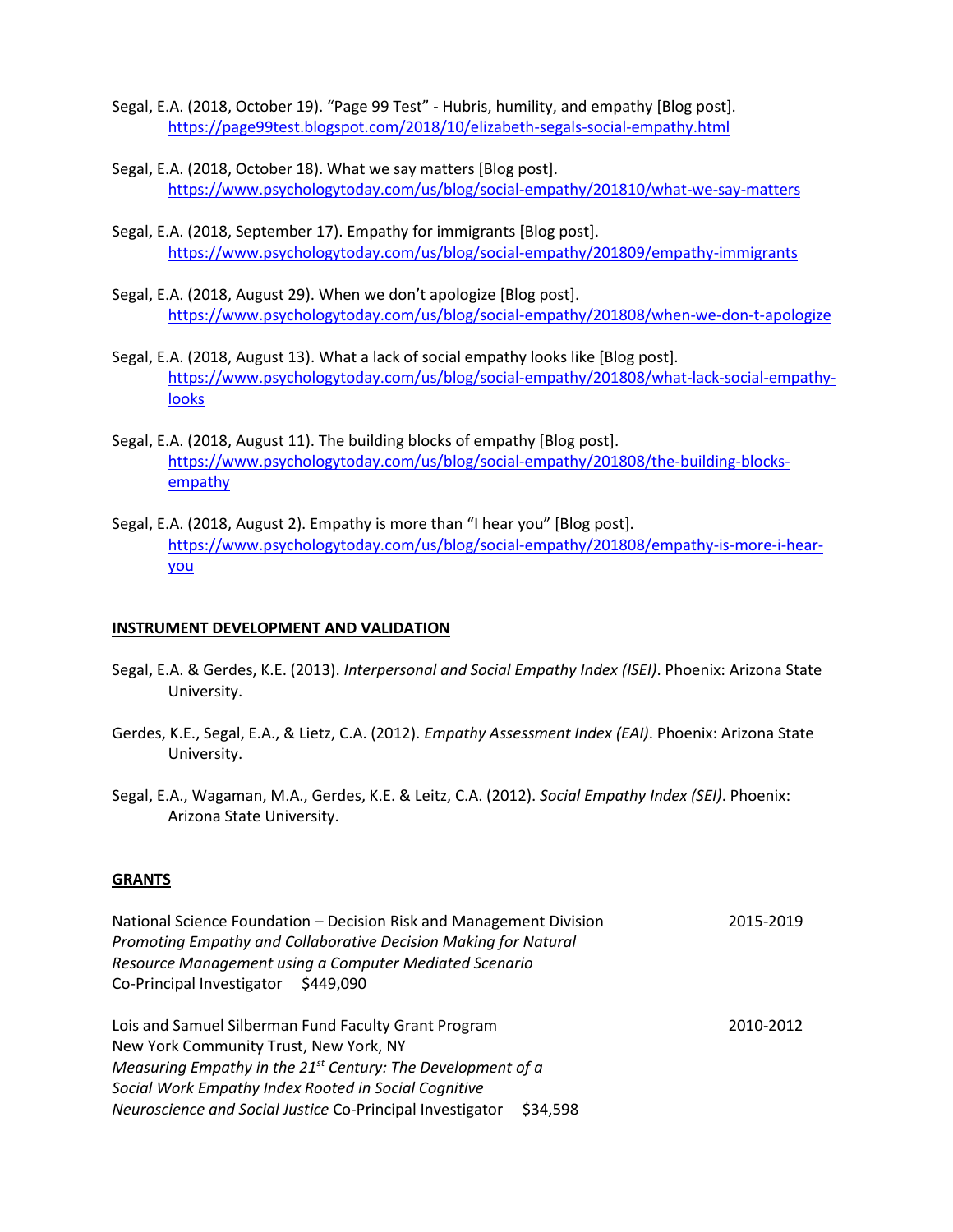- Segal, E.A. (2018, October 19). "Page 99 Test" Hubris, humility, and empathy [Blog post]. <https://page99test.blogspot.com/2018/10/elizabeth-segals-social-empathy.html>
- Segal, E.A. (2018, October 18). What we say matters [Blog post]. <https://www.psychologytoday.com/us/blog/social-empathy/201810/what-we-say-matters>
- Segal, E.A. (2018, September 17). Empathy for immigrants [Blog post]. <https://www.psychologytoday.com/us/blog/social-empathy/201809/empathy-immigrants>
- Segal, E.A. (2018, August 29). When we don't apologize [Blog post]. <https://www.psychologytoday.com/us/blog/social-empathy/201808/when-we-don-t-apologize>
- Segal, E.A. (2018, August 13). What a lack of social empathy looks like [Blog post]. [https://www.psychologytoday.com/us/blog/social-empathy/201808/what-lack-social-empathy](https://www.psychologytoday.com/us/blog/social-empathy/201808/what-lack-social-empathy-looks)[looks](https://www.psychologytoday.com/us/blog/social-empathy/201808/what-lack-social-empathy-looks)
- Segal, E.A. (2018, August 11). The building blocks of empathy [Blog post]. [https://www.psychologytoday.com/us/blog/social-empathy/201808/the-building-blocks](https://www.psychologytoday.com/us/blog/social-empathy/201808/the-building-blocks-empathy)[empathy](https://www.psychologytoday.com/us/blog/social-empathy/201808/the-building-blocks-empathy)
- Segal, E.A. (2018, August 2). Empathy is more than "I hear you" [Blog post]. [https://www.psychologytoday.com/us/blog/social-empathy/201808/empathy-is-more-i-hear](https://www.psychologytoday.com/us/blog/social-empathy/201808/empathy-is-more-i-hear-you)[you](https://www.psychologytoday.com/us/blog/social-empathy/201808/empathy-is-more-i-hear-you)

## **INSTRUMENT DEVELOPMENT AND VALIDATION**

- Segal, E.A. & Gerdes, K.E. (2013). *Interpersonal and Social Empathy Index (ISEI)*. Phoenix: Arizona State University.
- Gerdes, K.E., Segal, E.A., & Lietz, C.A. (2012). *Empathy Assessment Index (EAI)*. Phoenix: Arizona State University.
- Segal, E.A., Wagaman, M.A., Gerdes, K.E. & Leitz, C.A. (2012). *Social Empathy Index (SEI)*. Phoenix: Arizona State University.

#### **GRANTS**

National Science Foundation – Decision Risk and Management Division 2015-2019 *Promoting Empathy and Collaborative Decision Making for Natural Resource Management using a Computer Mediated Scenario* Co-Principal Investigator \$449,090

Lois and Samuel Silberman Fund Faculty Grant Program 2010-2012 New York Community Trust, New York, NY *Measuring Empathy in the 21st Century: The Development of a Social Work Empathy Index Rooted in Social Cognitive Neuroscience and Social Justice* Co-Principal Investigator \$34,598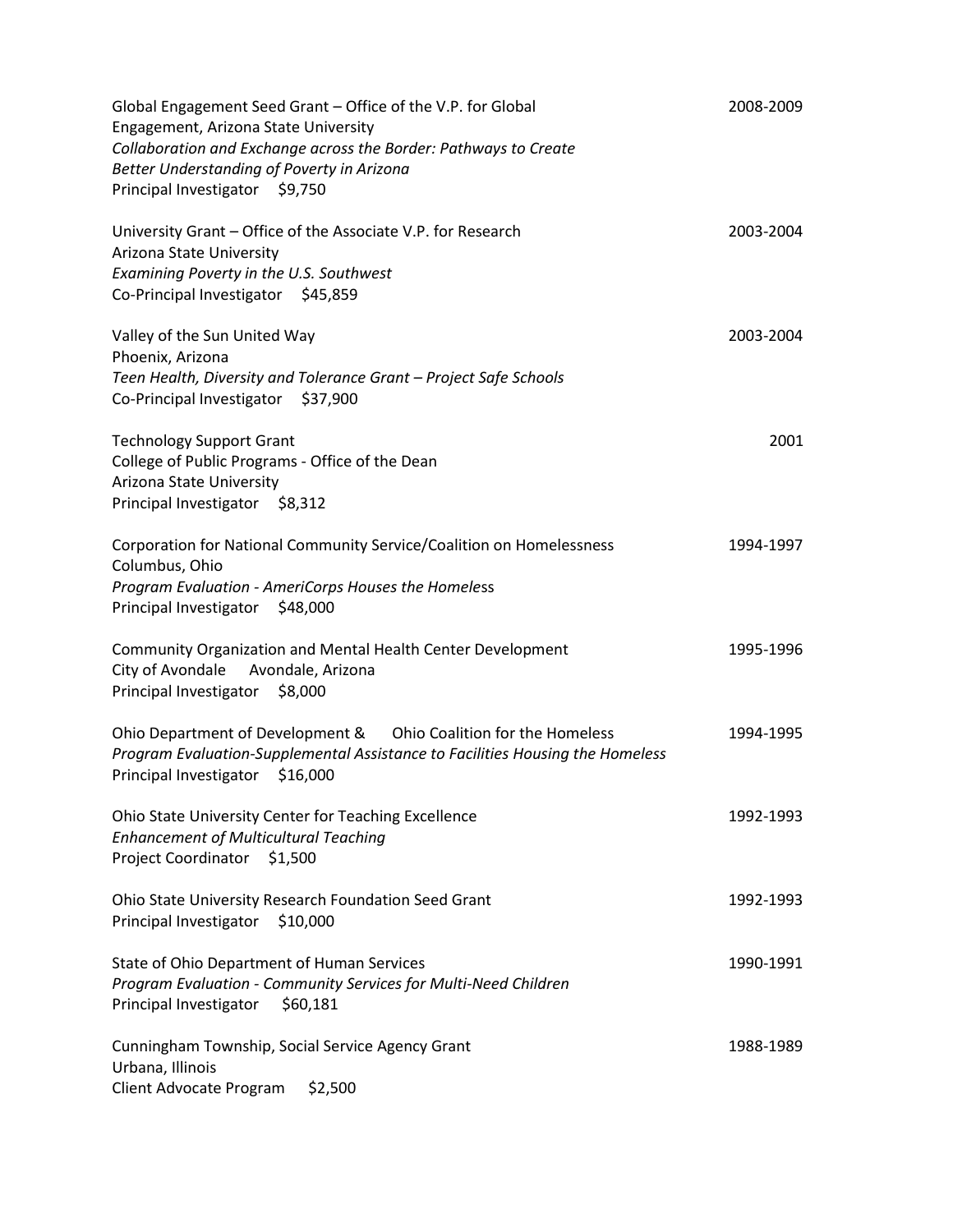| Global Engagement Seed Grant - Office of the V.P. for Global<br>Engagement, Arizona State University<br>Collaboration and Exchange across the Border: Pathways to Create<br>Better Understanding of Poverty in Arizona<br>Principal Investigator \$9,750 | 2008-2009 |
|----------------------------------------------------------------------------------------------------------------------------------------------------------------------------------------------------------------------------------------------------------|-----------|
| University Grant - Office of the Associate V.P. for Research<br>Arizona State University<br>Examining Poverty in the U.S. Southwest<br>Co-Principal Investigator \$45,859                                                                                | 2003-2004 |
| Valley of the Sun United Way<br>Phoenix, Arizona<br>Teen Health, Diversity and Tolerance Grant - Project Safe Schools<br>Co-Principal Investigator<br>\$37,900                                                                                           | 2003-2004 |
| <b>Technology Support Grant</b><br>College of Public Programs - Office of the Dean<br>Arizona State University<br>Principal Investigator \$8,312                                                                                                         | 2001      |
| Corporation for National Community Service/Coalition on Homelessness<br>Columbus, Ohio<br>Program Evaluation - AmeriCorps Houses the Homeless<br>Principal Investigator \$48,000                                                                         | 1994-1997 |
| Community Organization and Mental Health Center Development<br>City of Avondale<br>Avondale, Arizona<br>Principal Investigator \$8,000                                                                                                                   | 1995-1996 |
| Ohio Department of Development & Ohio Coalition for the Homeless<br>Program Evaluation-Supplemental Assistance to Facilities Housing the Homeless<br>Principal Investigator \$16,000                                                                     | 1994-1995 |
| Ohio State University Center for Teaching Excellence<br><b>Enhancement of Multicultural Teaching</b><br><b>Project Coordinator</b><br>\$1,500                                                                                                            | 1992-1993 |
| Ohio State University Research Foundation Seed Grant<br>Principal Investigator<br>\$10,000                                                                                                                                                               | 1992-1993 |
| State of Ohio Department of Human Services<br>Program Evaluation - Community Services for Multi-Need Children<br>Principal Investigator<br>\$60,181                                                                                                      | 1990-1991 |
| Cunningham Township, Social Service Agency Grant<br>Urbana, Illinois<br>Client Advocate Program<br>\$2,500                                                                                                                                               | 1988-1989 |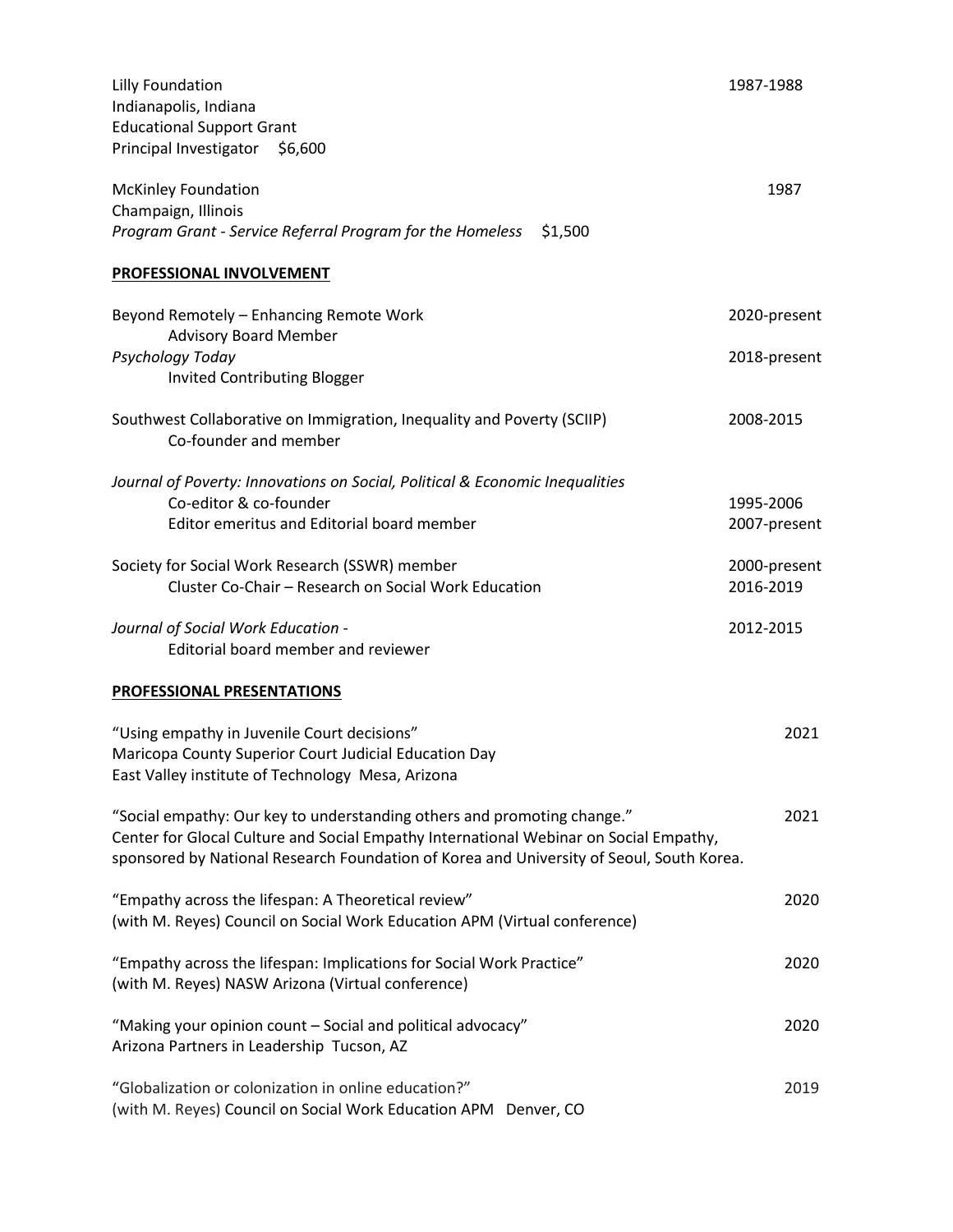| <b>Lilly Foundation</b><br>Indianapolis, Indiana                                                                                                                                                                                                             | 1987-1988                 |
|--------------------------------------------------------------------------------------------------------------------------------------------------------------------------------------------------------------------------------------------------------------|---------------------------|
| <b>Educational Support Grant</b><br>Principal Investigator<br>\$6,600                                                                                                                                                                                        |                           |
| <b>McKinley Foundation</b><br>Champaign, Illinois<br>Program Grant - Service Referral Program for the Homeless<br>\$1,500                                                                                                                                    | 1987                      |
| PROFESSIONAL INVOLVEMENT                                                                                                                                                                                                                                     |                           |
| Beyond Remotely - Enhancing Remote Work<br><b>Advisory Board Member</b>                                                                                                                                                                                      | 2020-present              |
| Psychology Today<br><b>Invited Contributing Blogger</b>                                                                                                                                                                                                      | 2018-present              |
| Southwest Collaborative on Immigration, Inequality and Poverty (SCIIP)<br>Co-founder and member                                                                                                                                                              | 2008-2015                 |
| Journal of Poverty: Innovations on Social, Political & Economic Inequalities<br>Co-editor & co-founder<br>Editor emeritus and Editorial board member                                                                                                         | 1995-2006<br>2007-present |
| Society for Social Work Research (SSWR) member<br>Cluster Co-Chair - Research on Social Work Education                                                                                                                                                       | 2000-present<br>2016-2019 |
| Journal of Social Work Education -<br>Editorial board member and reviewer                                                                                                                                                                                    | 2012-2015                 |
| PROFESSIONAL PRESENTATIONS                                                                                                                                                                                                                                   |                           |
| "Using empathy in Juvenile Court decisions"<br>Maricopa County Superior Court Judicial Education Day<br>East Valley institute of Technology Mesa, Arizona                                                                                                    | 2021                      |
| "Social empathy: Our key to understanding others and promoting change."<br>Center for Glocal Culture and Social Empathy International Webinar on Social Empathy,<br>sponsored by National Research Foundation of Korea and University of Seoul, South Korea. | 2021                      |
| "Empathy across the lifespan: A Theoretical review"<br>(with M. Reyes) Council on Social Work Education APM (Virtual conference)                                                                                                                             | 2020                      |
| "Empathy across the lifespan: Implications for Social Work Practice"<br>(with M. Reyes) NASW Arizona (Virtual conference)                                                                                                                                    | 2020                      |
| "Making your opinion count - Social and political advocacy"<br>Arizona Partners in Leadership Tucson, AZ                                                                                                                                                     | 2020                      |
| "Globalization or colonization in online education?"<br>(with M. Reyes) Council on Social Work Education APM Denver, CO                                                                                                                                      | 2019                      |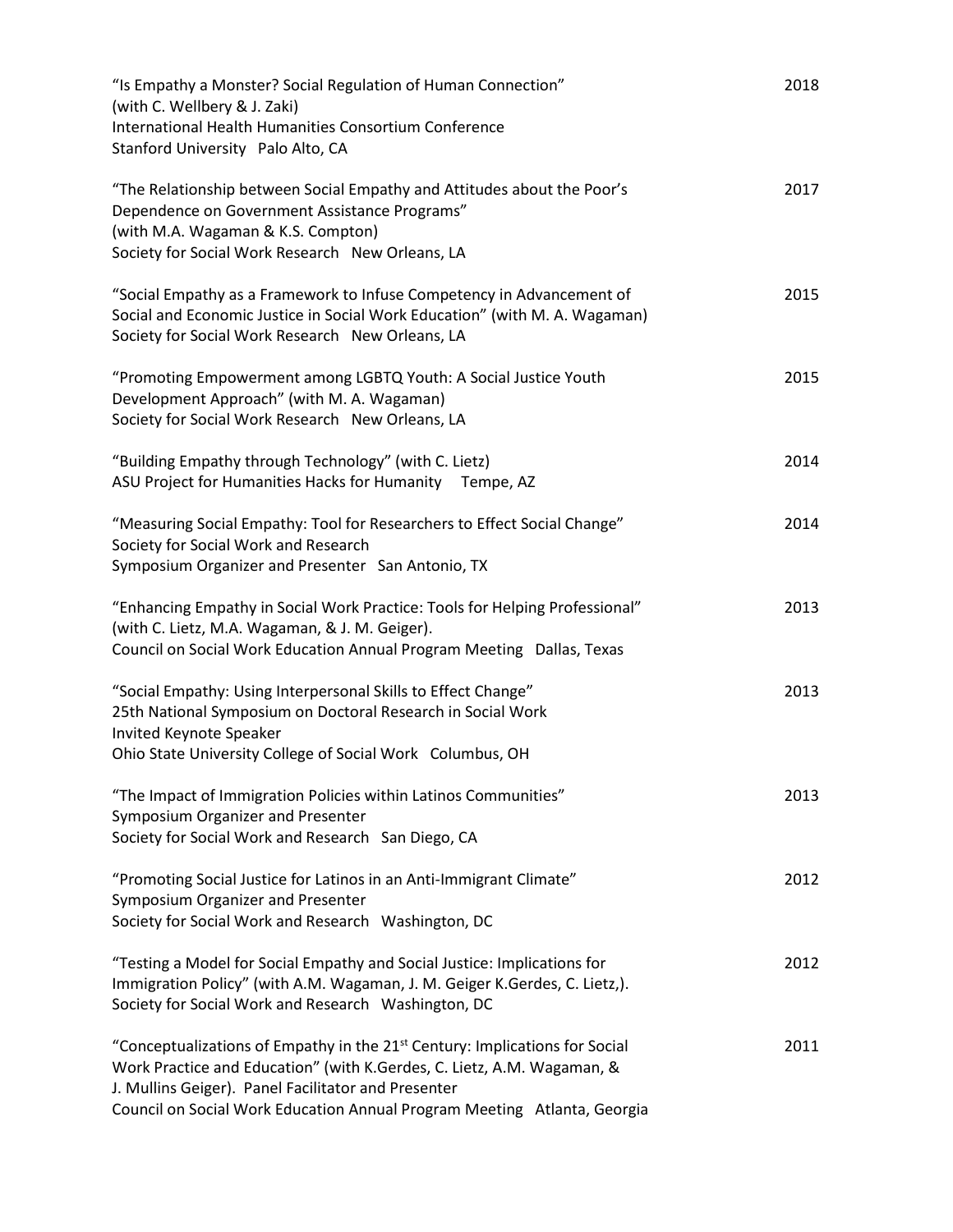| "Is Empathy a Monster? Social Regulation of Human Connection"<br>(with C. Wellbery & J. Zaki)                                                                                                                                                                                                        | 2018 |
|------------------------------------------------------------------------------------------------------------------------------------------------------------------------------------------------------------------------------------------------------------------------------------------------------|------|
| International Health Humanities Consortium Conference<br>Stanford University Palo Alto, CA                                                                                                                                                                                                           |      |
| "The Relationship between Social Empathy and Attitudes about the Poor's<br>Dependence on Government Assistance Programs"<br>(with M.A. Wagaman & K.S. Compton)<br>Society for Social Work Research New Orleans, LA                                                                                   | 2017 |
| "Social Empathy as a Framework to Infuse Competency in Advancement of<br>Social and Economic Justice in Social Work Education" (with M. A. Wagaman)<br>Society for Social Work Research New Orleans, LA                                                                                              | 2015 |
| "Promoting Empowerment among LGBTQ Youth: A Social Justice Youth<br>Development Approach" (with M. A. Wagaman)<br>Society for Social Work Research New Orleans, LA                                                                                                                                   | 2015 |
| "Building Empathy through Technology" (with C. Lietz)<br>ASU Project for Humanities Hacks for Humanity Tempe, AZ                                                                                                                                                                                     | 2014 |
| "Measuring Social Empathy: Tool for Researchers to Effect Social Change"<br>Society for Social Work and Research<br>Symposium Organizer and Presenter San Antonio, TX                                                                                                                                | 2014 |
| "Enhancing Empathy in Social Work Practice: Tools for Helping Professional"<br>(with C. Lietz, M.A. Wagaman, & J. M. Geiger).<br>Council on Social Work Education Annual Program Meeting Dallas, Texas                                                                                               | 2013 |
| "Social Empathy: Using Interpersonal Skills to Effect Change"<br>25th National Symposium on Doctoral Research in Social Work<br>Invited Keynote Speaker<br>Ohio State University College of Social Work Columbus, OH                                                                                 | 2013 |
| "The Impact of Immigration Policies within Latinos Communities"<br>Symposium Organizer and Presenter<br>Society for Social Work and Research San Diego, CA                                                                                                                                           | 2013 |
| "Promoting Social Justice for Latinos in an Anti-Immigrant Climate"<br>Symposium Organizer and Presenter<br>Society for Social Work and Research Washington, DC                                                                                                                                      | 2012 |
| "Testing a Model for Social Empathy and Social Justice: Implications for<br>Immigration Policy" (with A.M. Wagaman, J. M. Geiger K.Gerdes, C. Lietz,).<br>Society for Social Work and Research Washington, DC                                                                                        | 2012 |
| "Conceptualizations of Empathy in the 21 <sup>st</sup> Century: Implications for Social<br>Work Practice and Education" (with K.Gerdes, C. Lietz, A.M. Wagaman, &<br>J. Mullins Geiger). Panel Facilitator and Presenter<br>Council on Social Work Education Annual Program Meeting Atlanta, Georgia | 2011 |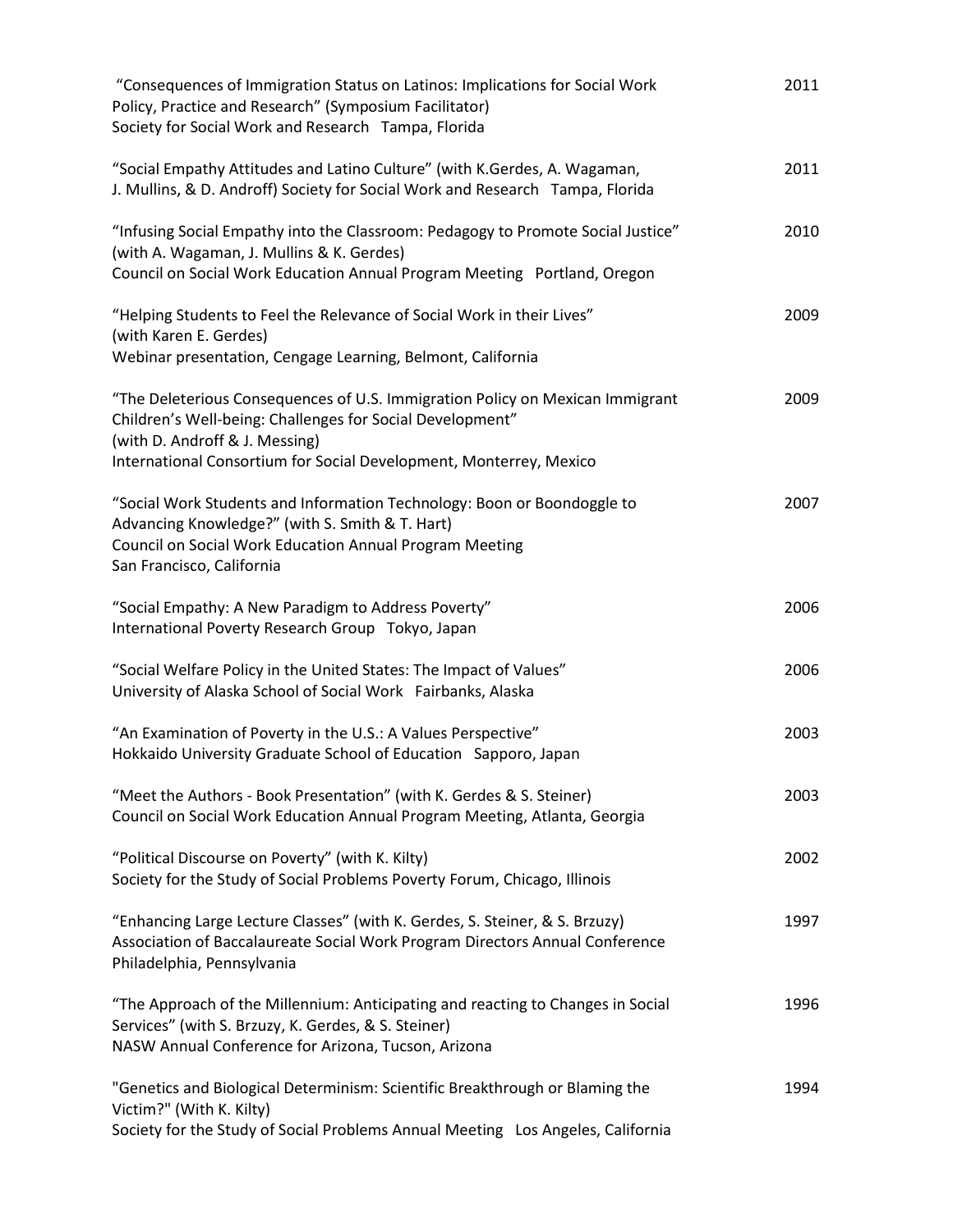| "Consequences of Immigration Status on Latinos: Implications for Social Work<br>Policy, Practice and Research" (Symposium Facilitator)<br>Society for Social Work and Research Tampa, Florida                                                      | 2011 |
|----------------------------------------------------------------------------------------------------------------------------------------------------------------------------------------------------------------------------------------------------|------|
| "Social Empathy Attitudes and Latino Culture" (with K.Gerdes, A. Wagaman,<br>J. Mullins, & D. Androff) Society for Social Work and Research Tampa, Florida                                                                                         | 2011 |
| "Infusing Social Empathy into the Classroom: Pedagogy to Promote Social Justice"<br>(with A. Wagaman, J. Mullins & K. Gerdes)<br>Council on Social Work Education Annual Program Meeting Portland, Oregon                                          | 2010 |
| "Helping Students to Feel the Relevance of Social Work in their Lives"<br>(with Karen E. Gerdes)<br>Webinar presentation, Cengage Learning, Belmont, California                                                                                    | 2009 |
| "The Deleterious Consequences of U.S. Immigration Policy on Mexican Immigrant<br>Children's Well-being: Challenges for Social Development"<br>(with D. Androff & J. Messing)<br>International Consortium for Social Development, Monterrey, Mexico | 2009 |
| "Social Work Students and Information Technology: Boon or Boondoggle to<br>Advancing Knowledge?" (with S. Smith & T. Hart)<br>Council on Social Work Education Annual Program Meeting<br>San Francisco, California                                 | 2007 |
| "Social Empathy: A New Paradigm to Address Poverty"<br>International Poverty Research Group Tokyo, Japan                                                                                                                                           | 2006 |
| "Social Welfare Policy in the United States: The Impact of Values"<br>University of Alaska School of Social Work Fairbanks, Alaska                                                                                                                 | 2006 |
| "An Examination of Poverty in the U.S.: A Values Perspective"<br>Hokkaido University Graduate School of Education Sapporo, Japan                                                                                                                   | 2003 |
| "Meet the Authors - Book Presentation" (with K. Gerdes & S. Steiner)<br>Council on Social Work Education Annual Program Meeting, Atlanta, Georgia                                                                                                  | 2003 |
| "Political Discourse on Poverty" (with K. Kilty)<br>Society for the Study of Social Problems Poverty Forum, Chicago, Illinois                                                                                                                      | 2002 |
| "Enhancing Large Lecture Classes" (with K. Gerdes, S. Steiner, & S. Brzuzy)<br>Association of Baccalaureate Social Work Program Directors Annual Conference<br>Philadelphia, Pennsylvania                                                          | 1997 |
| "The Approach of the Millennium: Anticipating and reacting to Changes in Social<br>Services" (with S. Brzuzy, K. Gerdes, & S. Steiner)<br>NASW Annual Conference for Arizona, Tucson, Arizona                                                      | 1996 |
| "Genetics and Biological Determinism: Scientific Breakthrough or Blaming the<br>Victim?" (With K. Kilty)<br>Society for the Study of Social Problems Annual Meeting Los Angeles, California                                                        | 1994 |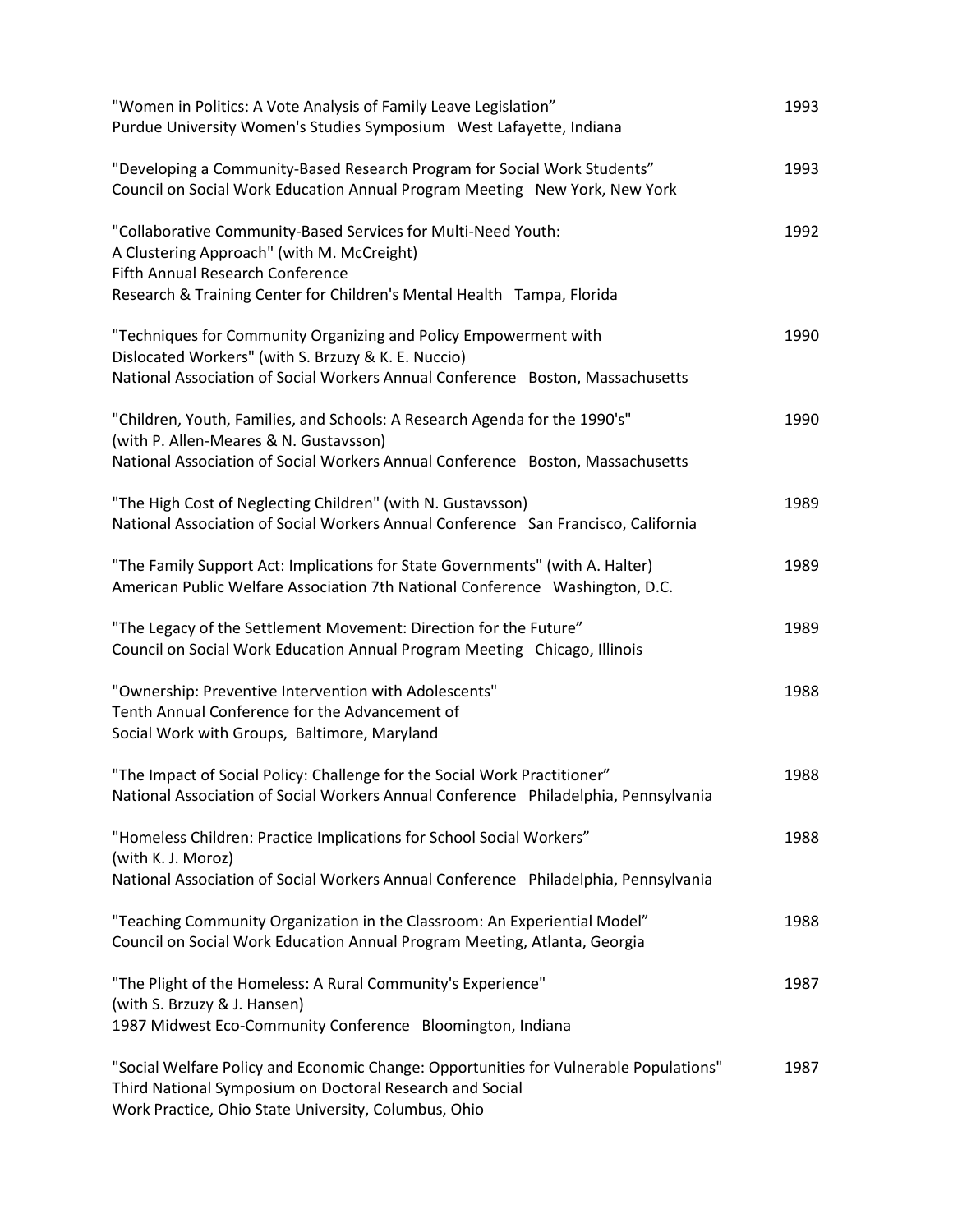| "Women in Politics: A Vote Analysis of Family Leave Legislation"<br>Purdue University Women's Studies Symposium West Lafayette, Indiana                                                                                   | 1993 |
|---------------------------------------------------------------------------------------------------------------------------------------------------------------------------------------------------------------------------|------|
| "Developing a Community-Based Research Program for Social Work Students"<br>Council on Social Work Education Annual Program Meeting New York, New York                                                                    | 1993 |
| "Collaborative Community-Based Services for Multi-Need Youth:<br>A Clustering Approach" (with M. McCreight)<br>Fifth Annual Research Conference<br>Research & Training Center for Children's Mental Health Tampa, Florida | 1992 |
| "Techniques for Community Organizing and Policy Empowerment with<br>Dislocated Workers" (with S. Brzuzy & K. E. Nuccio)<br>National Association of Social Workers Annual Conference Boston, Massachusetts                 | 1990 |
| "Children, Youth, Families, and Schools: A Research Agenda for the 1990's"<br>(with P. Allen-Meares & N. Gustavsson)<br>National Association of Social Workers Annual Conference Boston, Massachusetts                    | 1990 |
| "The High Cost of Neglecting Children" (with N. Gustavsson)<br>National Association of Social Workers Annual Conference San Francisco, California                                                                         | 1989 |
| "The Family Support Act: Implications for State Governments" (with A. Halter)<br>American Public Welfare Association 7th National Conference Washington, D.C.                                                             | 1989 |
| "The Legacy of the Settlement Movement: Direction for the Future"<br>Council on Social Work Education Annual Program Meeting Chicago, Illinois                                                                            | 1989 |
| "Ownership: Preventive Intervention with Adolescents"<br>Tenth Annual Conference for the Advancement of<br>Social Work with Groups, Baltimore, Maryland                                                                   | 1988 |
| "The Impact of Social Policy: Challenge for the Social Work Practitioner"<br>National Association of Social Workers Annual Conference Philadelphia, Pennsylvania                                                          | 1988 |
| "Homeless Children: Practice Implications for School Social Workers"<br>(with K. J. Moroz)<br>National Association of Social Workers Annual Conference Philadelphia, Pennsylvania                                         | 1988 |
| "Teaching Community Organization in the Classroom: An Experiential Model"<br>Council on Social Work Education Annual Program Meeting, Atlanta, Georgia                                                                    | 1988 |
| "The Plight of the Homeless: A Rural Community's Experience"<br>(with S. Brzuzy & J. Hansen)<br>1987 Midwest Eco-Community Conference Bloomington, Indiana                                                                | 1987 |
| "Social Welfare Policy and Economic Change: Opportunities for Vulnerable Populations"<br>Third National Symposium on Doctoral Research and Social<br>Work Practice, Ohio State University, Columbus, Ohio                 | 1987 |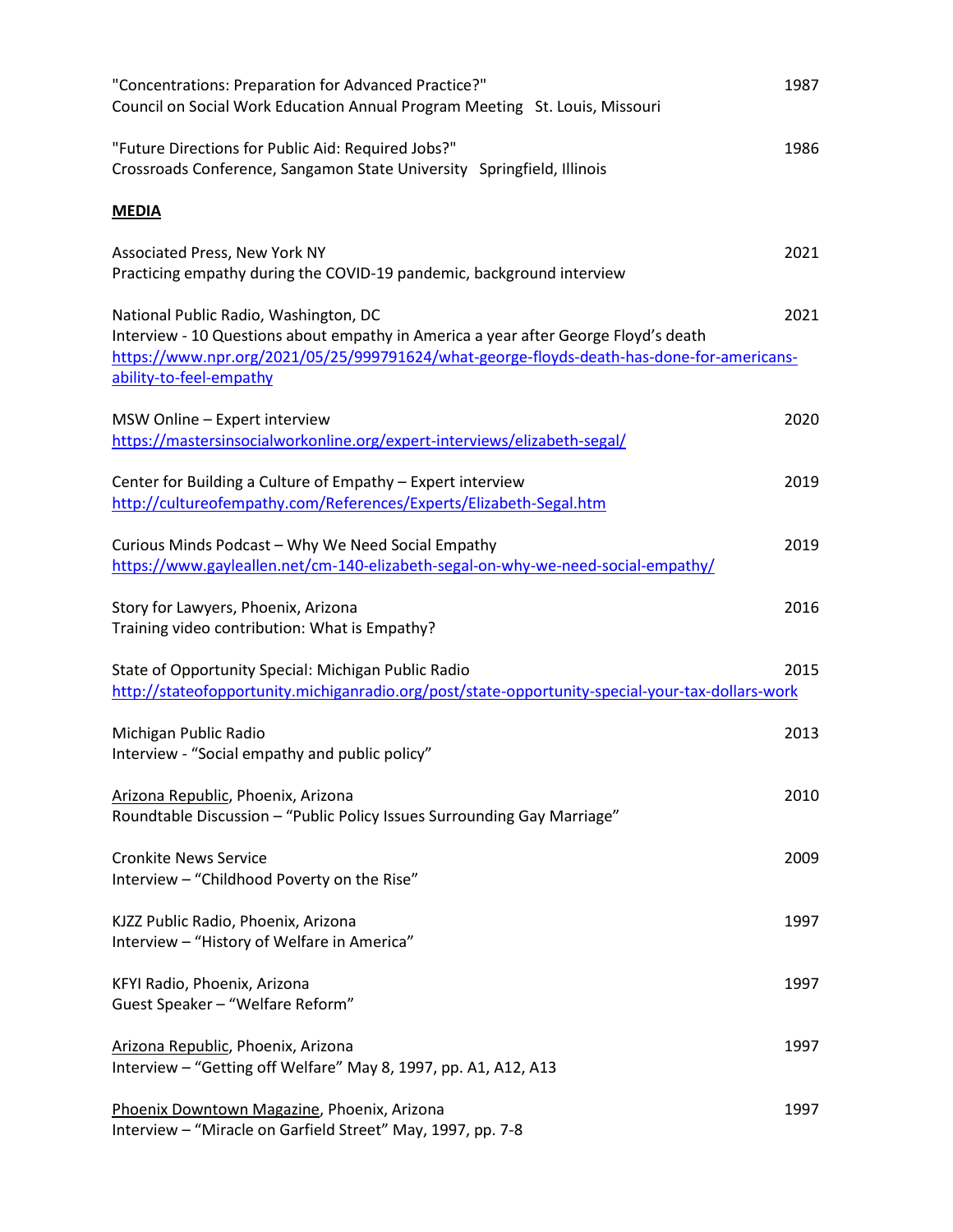| "Concentrations: Preparation for Advanced Practice?"<br>Council on Social Work Education Annual Program Meeting St. Louis, Missouri                                                                                                                  | 1987 |
|------------------------------------------------------------------------------------------------------------------------------------------------------------------------------------------------------------------------------------------------------|------|
| "Future Directions for Public Aid: Required Jobs?"<br>Crossroads Conference, Sangamon State University Springfield, Illinois                                                                                                                         | 1986 |
| <b>MEDIA</b>                                                                                                                                                                                                                                         |      |
| Associated Press, New York NY<br>Practicing empathy during the COVID-19 pandemic, background interview                                                                                                                                               | 2021 |
| National Public Radio, Washington, DC<br>Interview - 10 Questions about empathy in America a year after George Floyd's death<br>https://www.npr.org/2021/05/25/999791624/what-george-floyds-death-has-done-for-americans-<br>ability-to-feel-empathy | 2021 |
| MSW Online - Expert interview<br>https://mastersinsocialworkonline.org/expert-interviews/elizabeth-segal/                                                                                                                                            | 2020 |
| Center for Building a Culture of Empathy - Expert interview<br>http://cultureofempathy.com/References/Experts/Elizabeth-Segal.htm                                                                                                                    | 2019 |
| Curious Minds Podcast - Why We Need Social Empathy<br>https://www.gayleallen.net/cm-140-elizabeth-segal-on-why-we-need-social-empathy/                                                                                                               | 2019 |
| Story for Lawyers, Phoenix, Arizona<br>Training video contribution: What is Empathy?                                                                                                                                                                 | 2016 |
| State of Opportunity Special: Michigan Public Radio<br>http://stateofopportunity.michiganradio.org/post/state-opportunity-special-your-tax-dollars-work                                                                                              | 2015 |
| Michigan Public Radio<br>Interview - "Social empathy and public policy"                                                                                                                                                                              | 2013 |
| Arizona Republic, Phoenix, Arizona<br>Roundtable Discussion - "Public Policy Issues Surrounding Gay Marriage"                                                                                                                                        | 2010 |
| <b>Cronkite News Service</b><br>Interview - "Childhood Poverty on the Rise"                                                                                                                                                                          | 2009 |
| KJZZ Public Radio, Phoenix, Arizona<br>Interview - "History of Welfare in America"                                                                                                                                                                   | 1997 |
| KFYI Radio, Phoenix, Arizona<br>Guest Speaker - "Welfare Reform"                                                                                                                                                                                     | 1997 |
| Arizona Republic, Phoenix, Arizona<br>Interview - "Getting off Welfare" May 8, 1997, pp. A1, A12, A13                                                                                                                                                | 1997 |
| Phoenix Downtown Magazine, Phoenix, Arizona<br>Interview - "Miracle on Garfield Street" May, 1997, pp. 7-8                                                                                                                                           | 1997 |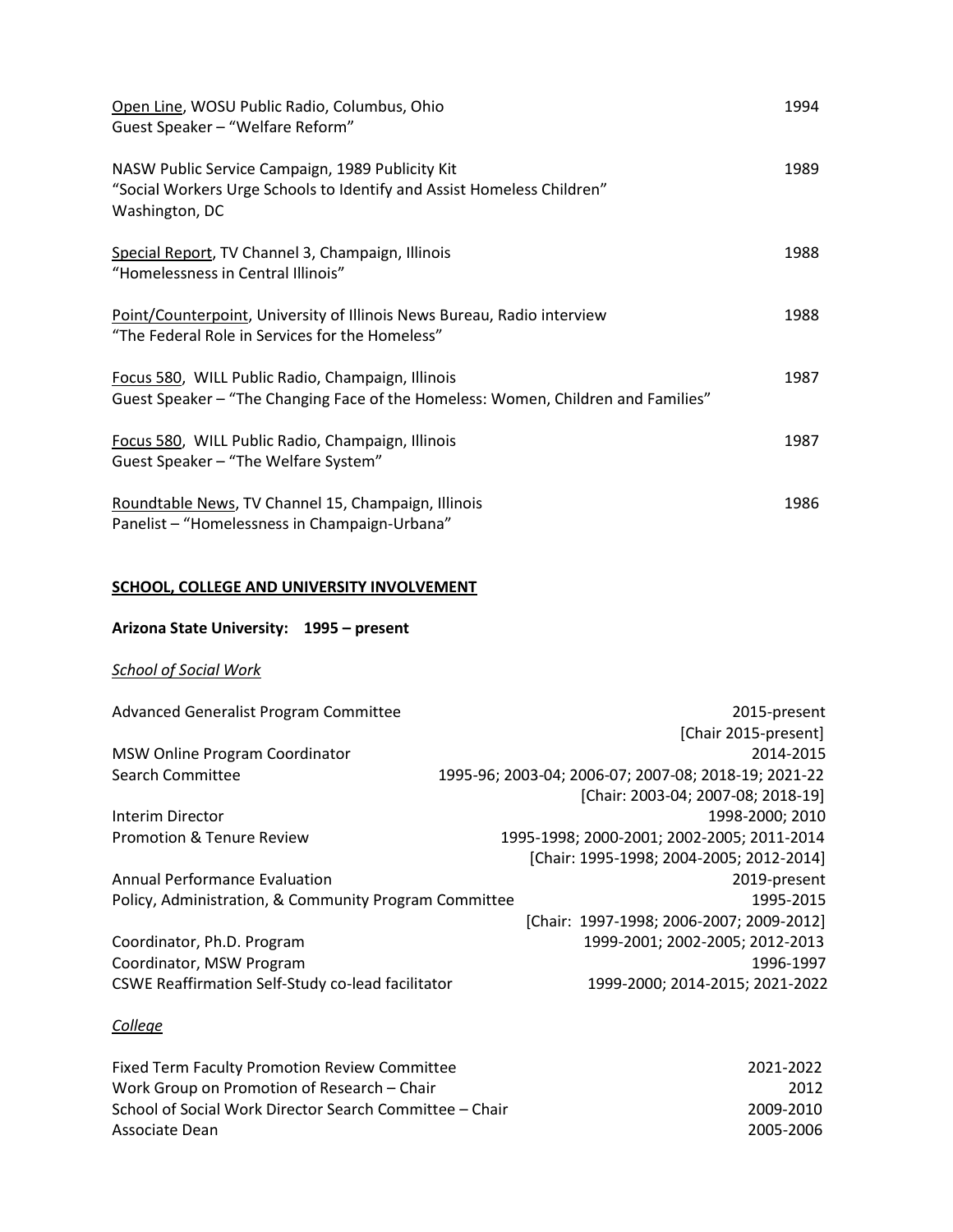| Open Line, WOSU Public Radio, Columbus, Ohio<br>Guest Speaker - "Welfare Reform"                                                             | 1994 |
|----------------------------------------------------------------------------------------------------------------------------------------------|------|
| NASW Public Service Campaign, 1989 Publicity Kit<br>"Social Workers Urge Schools to Identify and Assist Homeless Children"<br>Washington, DC | 1989 |
| Special Report, TV Channel 3, Champaign, Illinois<br>"Homelessness in Central Illinois"                                                      | 1988 |
| Point/Counterpoint, University of Illinois News Bureau, Radio interview<br>"The Federal Role in Services for the Homeless"                   | 1988 |
| Focus 580, WILL Public Radio, Champaign, Illinois<br>Guest Speaker - "The Changing Face of the Homeless: Women, Children and Families"       | 1987 |
| Focus 580, WILL Public Radio, Champaign, Illinois<br>Guest Speaker - "The Welfare System"                                                    | 1987 |
| Roundtable News, TV Channel 15, Champaign, Illinois<br>Panelist - "Homelessness in Champaign-Urbana"                                         | 1986 |

# **SCHOOL, COLLEGE AND UNIVERSITY INVOLVEMENT**

# **Arizona State University: 1995 – present**

# *School of Social Work*

| Advanced Generalist Program Committee                 | 2015-present                                         |
|-------------------------------------------------------|------------------------------------------------------|
|                                                       | [Chair 2015-present]                                 |
| MSW Online Program Coordinator                        | 2014-2015                                            |
| Search Committee                                      | 1995-96; 2003-04; 2006-07; 2007-08; 2018-19; 2021-22 |
|                                                       | [Chair: 2003-04; 2007-08; 2018-19]                   |
| Interim Director                                      | 1998-2000; 2010                                      |
| <b>Promotion &amp; Tenure Review</b>                  | 1995-1998; 2000-2001; 2002-2005; 2011-2014           |
|                                                       | [Chair: 1995-1998; 2004-2005; 2012-2014]             |
| <b>Annual Performance Evaluation</b>                  | 2019-present                                         |
| Policy, Administration, & Community Program Committee | 1995-2015                                            |
|                                                       | [Chair: 1997-1998; 2006-2007; 2009-2012]             |
| Coordinator, Ph.D. Program                            | 1999-2001; 2002-2005; 2012-2013                      |
| Coordinator, MSW Program                              | 1996-1997                                            |
| CSWE Reaffirmation Self-Study co-lead facilitator     | 1999-2000; 2014-2015; 2021-2022                      |

# *College*

| <b>Fixed Term Faculty Promotion Review Committee</b>    | 2021-2022 |
|---------------------------------------------------------|-----------|
| Work Group on Promotion of Research – Chair             | 2012      |
| School of Social Work Director Search Committee – Chair | 2009-2010 |
| Associate Dean                                          | 2005-2006 |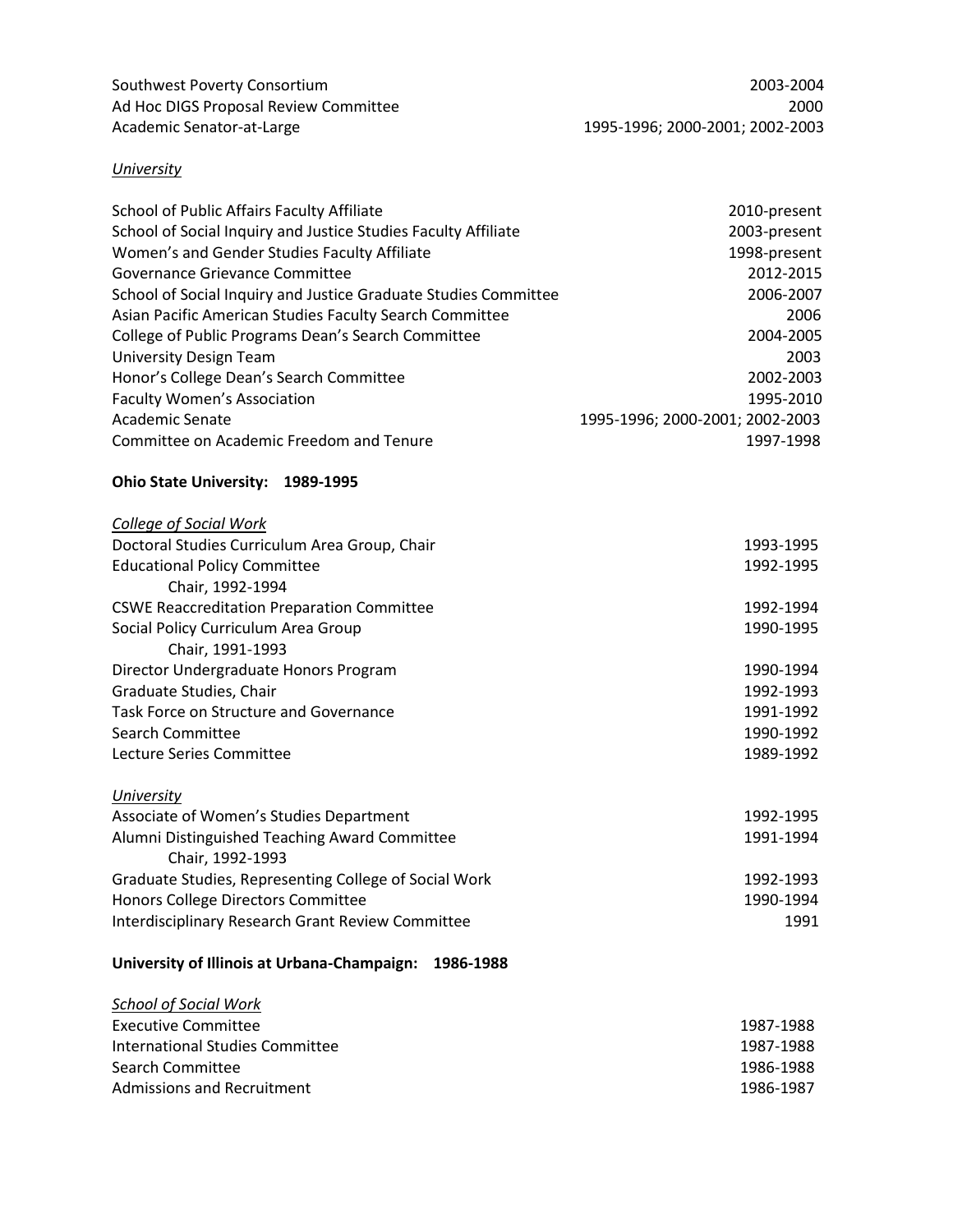Southwest Poverty Consortium 2003-2004 Ad Hoc DIGS Proposal Review Committee 2000 and the control of the 2000 and the 2000 and the 2000 and the 2000 Academic Senator-at-Large 1995-1996; 2000-2001; 2002-2003

# *University*

| School of Public Affairs Faculty Affiliate                                                                                                                   | 2010-present                    |                                                    |           |
|--------------------------------------------------------------------------------------------------------------------------------------------------------------|---------------------------------|----------------------------------------------------|-----------|
| School of Social Inquiry and Justice Studies Faculty Affiliate                                                                                               | 2003-present                    |                                                    |           |
| Women's and Gender Studies Faculty Affiliate                                                                                                                 | 1998-present                    |                                                    |           |
| Governance Grievance Committee<br>School of Social Inquiry and Justice Graduate Studies Committee<br>Asian Pacific American Studies Faculty Search Committee | 2012-2015<br>2006-2007<br>2006  |                                                    |           |
|                                                                                                                                                              |                                 | College of Public Programs Dean's Search Committee | 2004-2005 |
|                                                                                                                                                              |                                 | <b>University Design Team</b>                      | 2003      |
| Honor's College Dean's Search Committee                                                                                                                      | 2002-2003                       |                                                    |           |
| <b>Faculty Women's Association</b>                                                                                                                           | 1995-2010                       |                                                    |           |
| Academic Senate                                                                                                                                              | 1995-1996; 2000-2001; 2002-2003 |                                                    |           |
| Committee on Academic Freedom and Tenure                                                                                                                     | 1997-1998                       |                                                    |           |
| Ohio State University: 1989-1995                                                                                                                             |                                 |                                                    |           |
| <b>College of Social Work</b>                                                                                                                                |                                 |                                                    |           |
| Doctoral Studies Curriculum Area Group, Chair                                                                                                                | 1993-1995                       |                                                    |           |
| <b>Educational Policy Committee</b>                                                                                                                          | 1992-1995                       |                                                    |           |
| Chair, 1992-1994                                                                                                                                             |                                 |                                                    |           |
| <b>CSWE Reaccreditation Preparation Committee</b>                                                                                                            | 1992-1994                       |                                                    |           |
| Social Policy Curriculum Area Group                                                                                                                          | 1990-1995                       |                                                    |           |
| Chair, 1991-1993                                                                                                                                             |                                 |                                                    |           |
| Director Undergraduate Honors Program                                                                                                                        | 1990-1994                       |                                                    |           |
| Graduate Studies, Chair                                                                                                                                      | 1992-1993                       |                                                    |           |
| Task Force on Structure and Governance                                                                                                                       | 1991-1992                       |                                                    |           |
| <b>Search Committee</b>                                                                                                                                      | 1990-1992                       |                                                    |           |
| Lecture Series Committee                                                                                                                                     | 1989-1992                       |                                                    |           |
| University                                                                                                                                                   |                                 |                                                    |           |
| Associate of Women's Studies Department                                                                                                                      | 1992-1995                       |                                                    |           |
| Alumni Distinguished Teaching Award Committee<br>Chair, 1992-1993                                                                                            | 1991-1994                       |                                                    |           |
| Graduate Studies, Representing College of Social Work                                                                                                        | 1992-1993                       |                                                    |           |
| Honors College Directors Committee                                                                                                                           | 1990-1994                       |                                                    |           |
| Interdisciplinary Research Grant Review Committee                                                                                                            | 1991                            |                                                    |           |
| University of Illinois at Urbana-Champaign: 1986-1988                                                                                                        |                                 |                                                    |           |

| <b>School of Social Work</b>    |           |
|---------------------------------|-----------|
| Executive Committee             | 1987-1988 |
| International Studies Committee | 1987-1988 |
| Search Committee                | 1986-1988 |
| Admissions and Recruitment      | 1986-1987 |